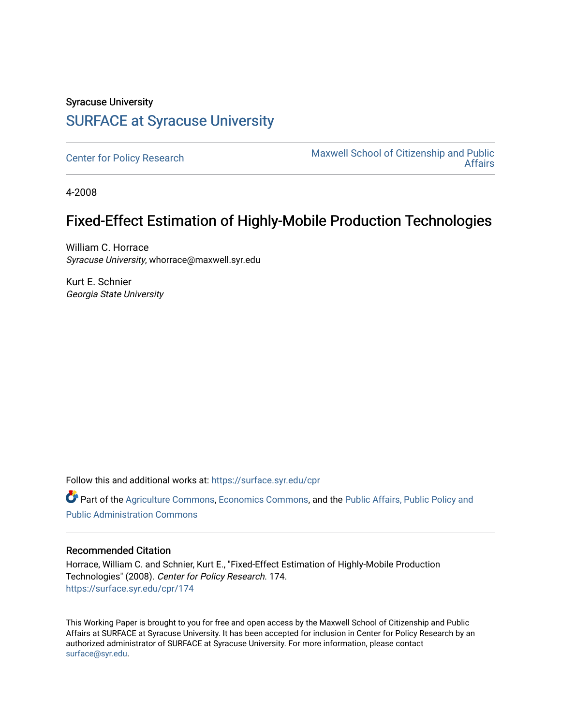# Syracuse University [SURFACE at Syracuse University](https://surface.syr.edu/)

[Center for Policy Research](https://surface.syr.edu/cpr) Maxwell School of Citizenship and Public [Affairs](https://surface.syr.edu/maxwell) 

4-2008

# Fixed-Effect Estimation of Highly-Mobile Production Technologies

William C. Horrace Syracuse University, whorrace@maxwell.syr.edu

Kurt E. Schnier Georgia State University

Follow this and additional works at: [https://surface.syr.edu/cpr](https://surface.syr.edu/cpr?utm_source=surface.syr.edu%2Fcpr%2F174&utm_medium=PDF&utm_campaign=PDFCoverPages) 

Part of the [Agriculture Commons](http://network.bepress.com/hgg/discipline/1076?utm_source=surface.syr.edu%2Fcpr%2F174&utm_medium=PDF&utm_campaign=PDFCoverPages), [Economics Commons,](http://network.bepress.com/hgg/discipline/340?utm_source=surface.syr.edu%2Fcpr%2F174&utm_medium=PDF&utm_campaign=PDFCoverPages) and the [Public Affairs, Public Policy and](http://network.bepress.com/hgg/discipline/393?utm_source=surface.syr.edu%2Fcpr%2F174&utm_medium=PDF&utm_campaign=PDFCoverPages)  [Public Administration Commons](http://network.bepress.com/hgg/discipline/393?utm_source=surface.syr.edu%2Fcpr%2F174&utm_medium=PDF&utm_campaign=PDFCoverPages) 

### Recommended Citation

Horrace, William C. and Schnier, Kurt E., "Fixed-Effect Estimation of Highly-Mobile Production Technologies" (2008). Center for Policy Research. 174. [https://surface.syr.edu/cpr/174](https://surface.syr.edu/cpr/174?utm_source=surface.syr.edu%2Fcpr%2F174&utm_medium=PDF&utm_campaign=PDFCoverPages) 

This Working Paper is brought to you for free and open access by the Maxwell School of Citizenship and Public Affairs at SURFACE at Syracuse University. It has been accepted for inclusion in Center for Policy Research by an authorized administrator of SURFACE at Syracuse University. For more information, please contact [surface@syr.edu.](mailto:surface@syr.edu)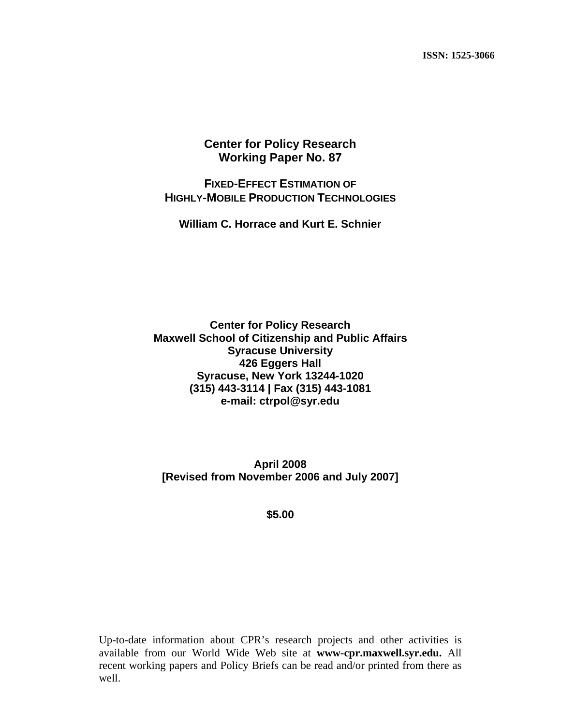# **Center for Policy Research Working Paper No. 87**

# **FIXED-EFFECT ESTIMATION OF HIGHLY-MOBILE PRODUCTION TECHNOLOGIES**

**William C. Horrace and Kurt E. Schnier** 

**Center for Policy Research Maxwell School of Citizenship and Public Affairs Syracuse University 426 Eggers Hall Syracuse, New York 13244-1020 (315) 443-3114 | Fax (315) 443-1081 e-mail: ctrpol@syr.edu** 

**April 2008 [Revised from November 2006 and July 2007]** 

**\$5.00** 

Up-to-date information about CPR's research projects and other activities is available from our World Wide Web site at **www-cpr.maxwell.syr.edu.** All recent working papers and Policy Briefs can be read and/or printed from there as well.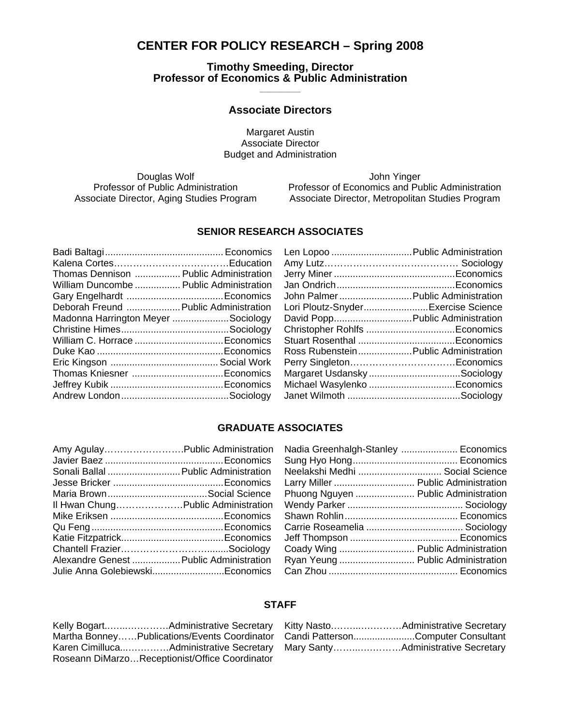# **CENTER FOR POLICY RESEARCH – Spring 2008**

**Timothy Smeeding, Director Professor of Economics & Public Administration \_\_\_\_\_\_\_\_\_\_** 

## **Associate Directors**

Margaret Austin Associate Director Budget and Administration

Douglas Wolf **Contract Contract Contract Contract Contract Contract Contract Contract Contract Contract Contract Contract Contract Contract Contract Contract Contract Contract Contract Contract Contract Contract Contract C** 

Professor of Public Administration Professor of Economics and Public Administration Associate Director, Aging Studies Program Associate Director, Metropolitan Studies Program

## **SENIOR RESEARCH ASSOCIATES**

| Thomas Dennison  Public Administration  |  |
|-----------------------------------------|--|
| William Duncombe  Public Administration |  |
|                                         |  |
| Deborah Freund  Public Administration   |  |
| Madonna Harrington Meyer Sociology      |  |
|                                         |  |
|                                         |  |
|                                         |  |
|                                         |  |
|                                         |  |
|                                         |  |
|                                         |  |
|                                         |  |

| Len Lopoo  Public Administration     |  |
|--------------------------------------|--|
| Amy Lutz…………………………………… Sociology     |  |
|                                      |  |
|                                      |  |
| John Palmer  Public Administration   |  |
| Lori Ploutz-SnyderExercise Science   |  |
| David Popp Public Administration     |  |
|                                      |  |
|                                      |  |
| Ross RubensteinPublic Administration |  |
| Perry SingletonEconomics             |  |
| Margaret Usdansky Sociology          |  |
| Michael Wasylenko Economics          |  |
|                                      |  |
|                                      |  |

### **GRADUATE ASSOCIATES**

| Amy AgulayPublic Administration         |  |
|-----------------------------------------|--|
|                                         |  |
| Sonali Ballal  Public Administration    |  |
|                                         |  |
|                                         |  |
| Il Hwan ChungPublic Administration      |  |
|                                         |  |
|                                         |  |
|                                         |  |
|                                         |  |
| Alexandre Genest  Public Administration |  |
| Julie Anna GolebiewskiEconomics         |  |

| Neelakshi Medhi  Social Science      |  |
|--------------------------------------|--|
| Larry Miller  Public Administration  |  |
| Phuong Nguyen  Public Administration |  |
|                                      |  |
|                                      |  |
|                                      |  |
|                                      |  |
| Coady Wing  Public Administration    |  |
| Ryan Yeung  Public Administration    |  |
|                                      |  |

#### **STAFF**

| Martha BonneyPublications/Events Coordinator   |
|------------------------------------------------|
| Karen CimillucaAdministrative Secretary        |
| Roseann DiMarzoReceptionist/Office Coordinator |

| Candi PattersonComputer Consultant |
|------------------------------------|
|                                    |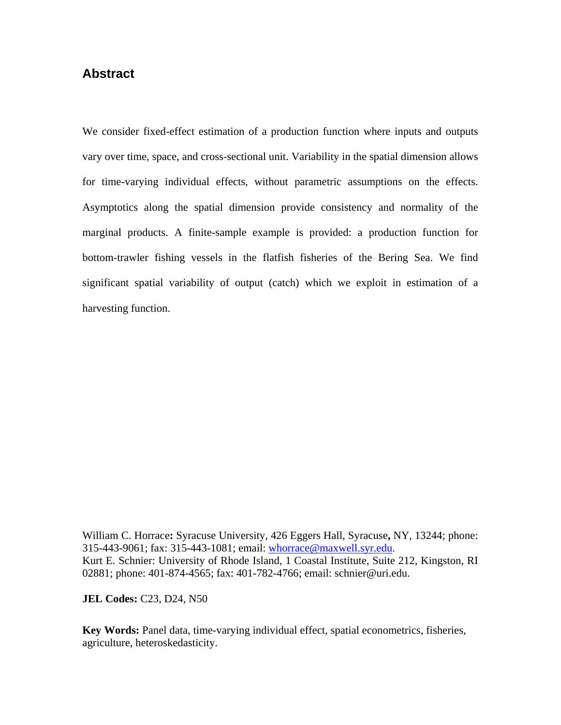# **Abstract**

We consider fixed-effect estimation of a production function where inputs and outputs vary over time, space, and cross-sectional unit. Variability in the spatial dimension allows for time-varying individual effects, without parametric assumptions on the effects. Asymptotics along the spatial dimension provide consistency and normality of the marginal products. A finite-sample example is provided: a production function for bottom-trawler fishing vessels in the flatfish fisheries of the Bering Sea. We find significant spatial variability of output (catch) which we exploit in estimation of a harvesting function.

William C. Horrace**:** Syracuse University, 426 Eggers Hall, Syracuse**,** NY, 13244; phone: 315-443-9061; fax: 315-443-1081; email: whorrace@maxwell.syr.edu. Kurt E. Schnier: University of Rhode Island, 1 Coastal Institute, Suite 212, Kingston, RI 02881; phone: 401-874-4565; fax: 401-782-4766; email: schnier@uri.edu.

**JEL Codes:** C23, D24, N50

**Key Words:** Panel data, time-varying individual effect, spatial econometrics, fisheries, agriculture, heteroskedasticity.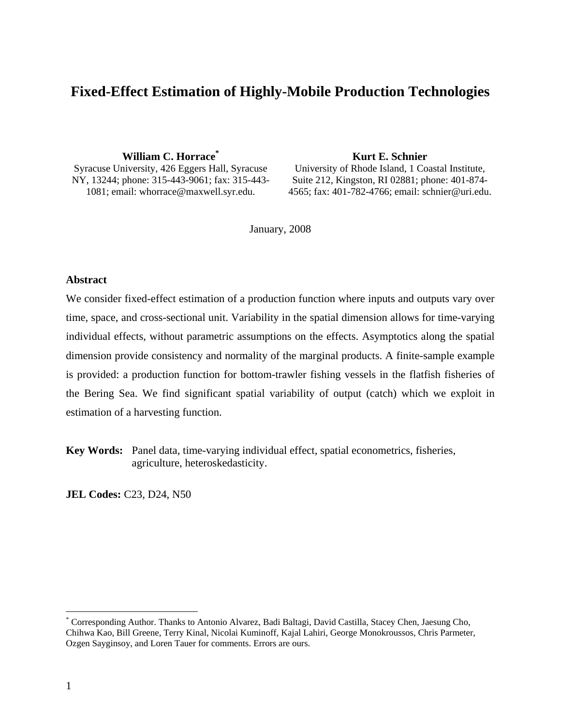# **Fixed-Effect Estimation of Highly-Mobile Production Technologies**

**William C. Horrace\***

Syracuse University, 426 Eggers Hall, Syracuse NY, 13244; phone: 315-443-9061; fax: 315-443- 1081; email: whorrace@maxwell.syr.edu.

**Kurt E. Schnier** 

University of Rhode Island, 1 Coastal Institute, Suite 212, Kingston, RI 02881; phone: 401-874- 4565; fax: 401-782-4766; email: schnier@uri.edu.

January, 2008

### **Abstract**

We consider fixed-effect estimation of a production function where inputs and outputs vary over time, space, and cross-sectional unit. Variability in the spatial dimension allows for time-varying individual effects, without parametric assumptions on the effects. Asymptotics along the spatial dimension provide consistency and normality of the marginal products. A finite-sample example is provided: a production function for bottom-trawler fishing vessels in the flatfish fisheries of the Bering Sea. We find significant spatial variability of output (catch) which we exploit in estimation of a harvesting function.

**Key Words:** Panel data, time-varying individual effect, spatial econometrics, fisheries, agriculture, heteroskedasticity.

**JEL Codes:** C23, D24, N50

<sup>\*</sup> Corresponding Author. Thanks to Antonio Alvarez, Badi Baltagi, David Castilla, Stacey Chen, Jaesung Cho, Chihwa Kao, Bill Greene, Terry Kinal, Nicolai Kuminoff, Kajal Lahiri, George Monokroussos, Chris Parmeter, Ozgen Sayginsoy, and Loren Tauer for comments. Errors are ours.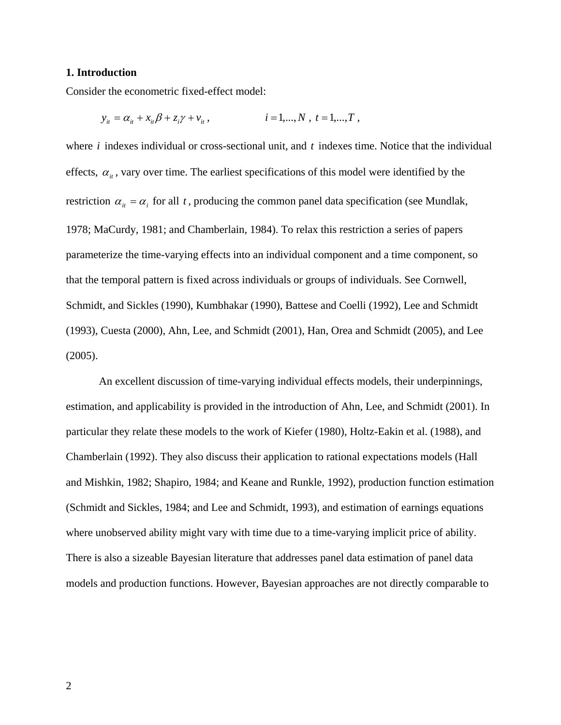#### **1. Introduction**

Consider the econometric fixed-effect model:

$$
y_{it} = \alpha_{it} + x_{it}\beta + z_{it}\gamma + v_{it}, \qquad i = 1,...,N, t = 1,...,T,
$$

where *i* indexes individual or cross-sectional unit, and *t* indexes time. Notice that the individual effects,  $\alpha_{ij}$ , vary over time. The earliest specifications of this model were identified by the restriction  $\alpha_{i} = \alpha_{i}$  for all *t*, producing the common panel data specification (see Mundlak, 1978; MaCurdy, 1981; and Chamberlain, 1984). To relax this restriction a series of papers parameterize the time-varying effects into an individual component and a time component, so that the temporal pattern is fixed across individuals or groups of individuals. See Cornwell, Schmidt, and Sickles (1990), Kumbhakar (1990), Battese and Coelli (1992), Lee and Schmidt (1993), Cuesta (2000), Ahn, Lee, and Schmidt (2001), Han, Orea and Schmidt (2005), and Lee (2005).

An excellent discussion of time-varying individual effects models, their underpinnings, estimation, and applicability is provided in the introduction of Ahn, Lee, and Schmidt (2001). In particular they relate these models to the work of Kiefer (1980), Holtz-Eakin et al. (1988), and Chamberlain (1992). They also discuss their application to rational expectations models (Hall and Mishkin, 1982; Shapiro, 1984; and Keane and Runkle, 1992), production function estimation (Schmidt and Sickles, 1984; and Lee and Schmidt, 1993), and estimation of earnings equations where unobserved ability might vary with time due to a time-varying implicit price of ability. There is also a sizeable Bayesian literature that addresses panel data estimation of panel data models and production functions. However, Bayesian approaches are not directly comparable to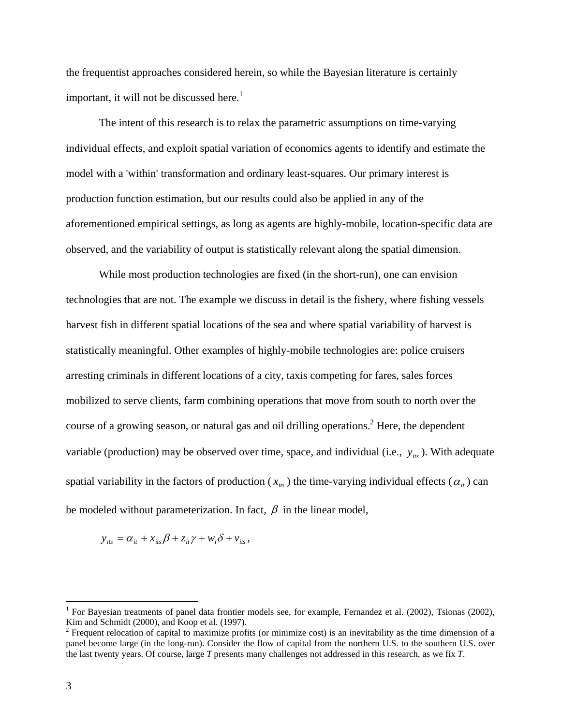the frequentist approaches considered herein, so while the Bayesian literature is certainly important, it will not be discussed here.<sup>1</sup>

The intent of this research is to relax the parametric assumptions on time-varying individual effects, and exploit spatial variation of economics agents to identify and estimate the model with a 'within' transformation and ordinary least-squares. Our primary interest is production function estimation, but our results could also be applied in any of the aforementioned empirical settings, as long as agents are highly-mobile, location-specific data are observed, and the variability of output is statistically relevant along the spatial dimension.

While most production technologies are fixed (in the short-run), one can envision technologies that are not. The example we discuss in detail is the fishery, where fishing vessels harvest fish in different spatial locations of the sea and where spatial variability of harvest is statistically meaningful. Other examples of highly-mobile technologies are: police cruisers arresting criminals in different locations of a city, taxis competing for fares, sales forces mobilized to serve clients, farm combining operations that move from south to north over the course of a growing season, or natural gas and oil drilling operations.<sup>2</sup> Here, the dependent variable (production) may be observed over time, space, and individual (i.e.,  $y_{ik}$ ). With adequate spatial variability in the factors of production ( $x_{irs}$ ) the time-varying individual effects ( $\alpha_{it}$ ) can be modeled without parameterization. In fact,  $\beta$  in the linear model,

$$
y_{its} = \alpha_{it} + x_{its}\beta + z_{it}\gamma + w_i\delta + v_{its},
$$

<sup>&</sup>lt;sup>1</sup> For Bayesian treatments of panel data frontier models see, for example, Fernandez et al. (2002), Tsionas (2002), Kim and Schmidt (2000), and Koop et al. (1997).

 $2^2$  Frequent relocation of capital to maximize profits (or minimize cost) is an inevitability as the time dimension of a panel become large (in the long-run). Consider the flow of capital from the northern U.S. to the southern U.S. over the last twenty years. Of course, large *T* presents many challenges not addressed in this research, as we fix *T*.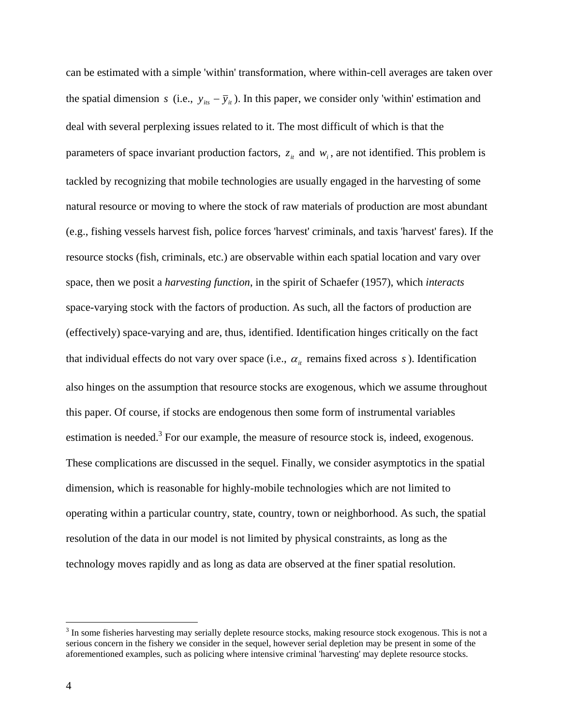can be estimated with a simple 'within' transformation, where within-cell averages are taken over the spatial dimension *s* (i.e.,  $y_{its} - \overline{y}_{it}$ ). In this paper, we consider only 'within' estimation and deal with several perplexing issues related to it. The most difficult of which is that the parameters of space invariant production factors,  $z_{it}$  and  $w_i$ , are not identified. This problem is tackled by recognizing that mobile technologies are usually engaged in the harvesting of some natural resource or moving to where the stock of raw materials of production are most abundant (e.g., fishing vessels harvest fish, police forces 'harvest' criminals, and taxis 'harvest' fares). If the resource stocks (fish, criminals, etc.) are observable within each spatial location and vary over space, then we posit a *harvesting function*, in the spirit of Schaefer (1957), which *interacts* space-varying stock with the factors of production. As such, all the factors of production are (effectively) space-varying and are, thus, identified. Identification hinges critically on the fact that individual effects do not vary over space (i.e.,  $\alpha_i$  remains fixed across *s*). Identification also hinges on the assumption that resource stocks are exogenous, which we assume throughout this paper. Of course, if stocks are endogenous then some form of instrumental variables estimation is needed.<sup>3</sup> For our example, the measure of resource stock is, indeed, exogenous. These complications are discussed in the sequel. Finally, we consider asymptotics in the spatial dimension, which is reasonable for highly-mobile technologies which are not limited to operating within a particular country, state, country, town or neighborhood. As such, the spatial resolution of the data in our model is not limited by physical constraints, as long as the technology moves rapidly and as long as data are observed at the finer spatial resolution.

 $3$  In some fisheries harvesting may serially deplete resource stocks, making resource stock exogenous. This is not a serious concern in the fishery we consider in the sequel, however serial depletion may be present in some of the aforementioned examples, such as policing where intensive criminal 'harvesting' may deplete resource stocks.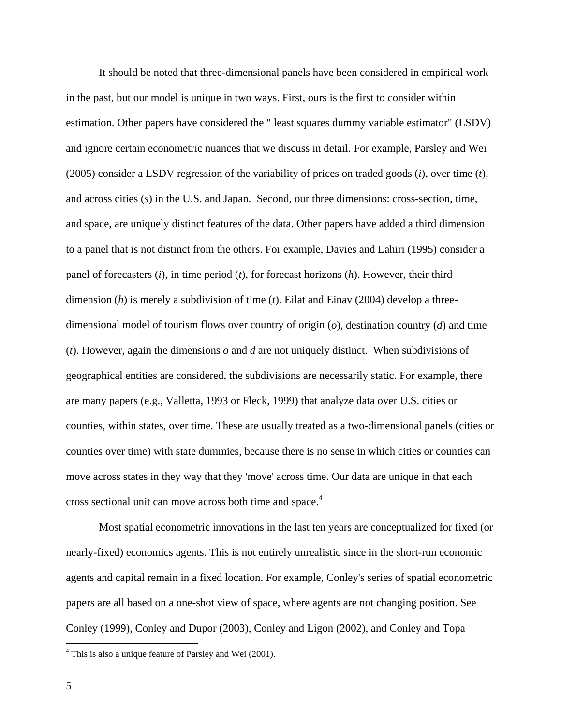It should be noted that three-dimensional panels have been considered in empirical work in the past, but our model is unique in two ways. First, ours is the first to consider within estimation. Other papers have considered the " least squares dummy variable estimator" (LSDV) and ignore certain econometric nuances that we discuss in detail. For example, Parsley and Wei (2005) consider a LSDV regression of the variability of prices on traded goods (*i*), over time (*t*), and across cities (*s*) in the U.S. and Japan. Second, our three dimensions: cross-section, time, and space, are uniquely distinct features of the data. Other papers have added a third dimension to a panel that is not distinct from the others. For example, Davies and Lahiri (1995) consider a panel of forecasters (*i*), in time period (*t*), for forecast horizons (*h*). However, their third dimension (*h*) is merely a subdivision of time (*t*). Eilat and Einav (2004) develop a threedimensional model of tourism flows over country of origin (*o*), destination country (*d*) and time (*t*). However, again the dimensions *o* and *d* are not uniquely distinct. When subdivisions of geographical entities are considered, the subdivisions are necessarily static. For example, there are many papers (e.g., Valletta, 1993 or Fleck, 1999) that analyze data over U.S. cities or counties, within states, over time. These are usually treated as a two-dimensional panels (cities or counties over time) with state dummies, because there is no sense in which cities or counties can move across states in they way that they 'move' across time. Our data are unique in that each cross sectional unit can move across both time and space.4

Most spatial econometric innovations in the last ten years are conceptualized for fixed (or nearly-fixed) economics agents. This is not entirely unrealistic since in the short-run economic agents and capital remain in a fixed location. For example, Conley's series of spatial econometric papers are all based on a one-shot view of space, where agents are not changing position. See Conley (1999), Conley and Dupor (2003), Conley and Ligon (2002), and Conley and Topa

<sup>&</sup>lt;sup>4</sup> This is also a unique feature of Parsley and Wei (2001).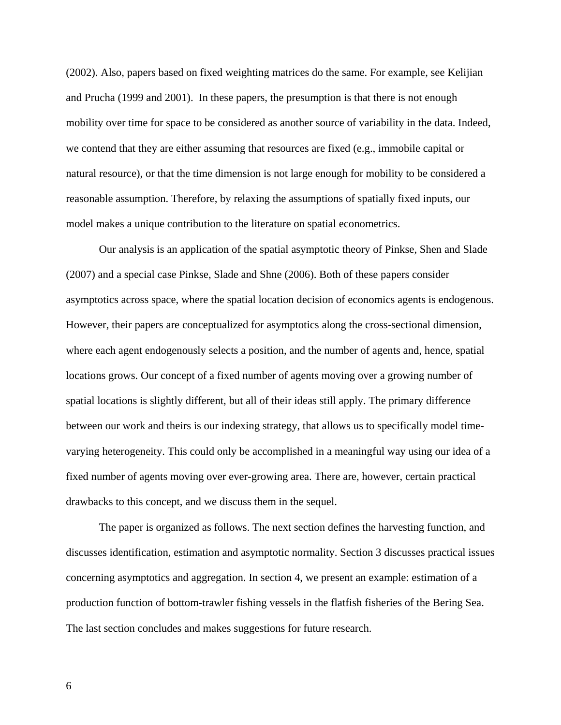(2002). Also, papers based on fixed weighting matrices do the same. For example, see Kelijian and Prucha (1999 and 2001). In these papers, the presumption is that there is not enough mobility over time for space to be considered as another source of variability in the data. Indeed, we contend that they are either assuming that resources are fixed (e.g., immobile capital or natural resource), or that the time dimension is not large enough for mobility to be considered a reasonable assumption. Therefore, by relaxing the assumptions of spatially fixed inputs, our model makes a unique contribution to the literature on spatial econometrics.

Our analysis is an application of the spatial asymptotic theory of Pinkse, Shen and Slade (2007) and a special case Pinkse, Slade and Shne (2006). Both of these papers consider asymptotics across space, where the spatial location decision of economics agents is endogenous. However, their papers are conceptualized for asymptotics along the cross-sectional dimension, where each agent endogenously selects a position, and the number of agents and, hence, spatial locations grows. Our concept of a fixed number of agents moving over a growing number of spatial locations is slightly different, but all of their ideas still apply. The primary difference between our work and theirs is our indexing strategy, that allows us to specifically model timevarying heterogeneity. This could only be accomplished in a meaningful way using our idea of a fixed number of agents moving over ever-growing area. There are, however, certain practical drawbacks to this concept, and we discuss them in the sequel.

The paper is organized as follows. The next section defines the harvesting function, and discusses identification, estimation and asymptotic normality. Section 3 discusses practical issues concerning asymptotics and aggregation. In section 4, we present an example: estimation of a production function of bottom-trawler fishing vessels in the flatfish fisheries of the Bering Sea. The last section concludes and makes suggestions for future research.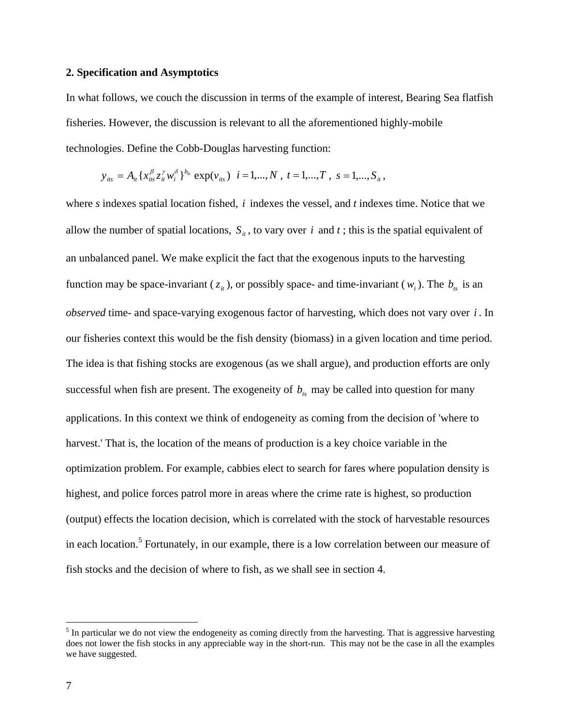#### **2. Specification and Asymptotics**

In what follows, we couch the discussion in terms of the example of interest, Bearing Sea flatfish fisheries. However, the discussion is relevant to all the aforementioned highly-mobile technologies. Define the Cobb-Douglas harvesting function:

$$
y_{its} = A_{it} \{ x_{its}^{\beta} z_{it}^{\gamma} w_i^{\delta} \}^{b_{ts}} \exp(v_{its}) \quad i = 1,...,N \, , \, t = 1,...,T \, , \, s = 1,...,S_{it} \, ,
$$

where *s* indexes spatial location fished, *i* indexes the vessel, and *t* indexes time. Notice that we allow the number of spatial locations,  $S_{it}$ , to vary over *i* and *t*; this is the spatial equivalent of an unbalanced panel. We make explicit the fact that the exogenous inputs to the harvesting function may be space-invariant ( $z_i$ ), or possibly space- and time-invariant ( $w_i$ ). The  $b_{ts}$  is an *observed* time- and space-varying exogenous factor of harvesting, which does not vary over *i* . In our fisheries context this would be the fish density (biomass) in a given location and time period. The idea is that fishing stocks are exogenous (as we shall argue), and production efforts are only successful when fish are present. The exogeneity of  $b_{ts}$  may be called into question for many applications. In this context we think of endogeneity as coming from the decision of 'where to harvest.' That is, the location of the means of production is a key choice variable in the optimization problem. For example, cabbies elect to search for fares where population density is highest, and police forces patrol more in areas where the crime rate is highest, so production (output) effects the location decision, which is correlated with the stock of harvestable resources in each location.<sup>5</sup> Fortunately, in our example, there is a low correlation between our measure of fish stocks and the decision of where to fish, as we shall see in section 4.

 $<sup>5</sup>$  In particular we do not view the endogeneity as coming directly from the harvesting. That is aggressive harvesting</sup> does not lower the fish stocks in any appreciable way in the short-run. This may not be the case in all the examples we have suggested.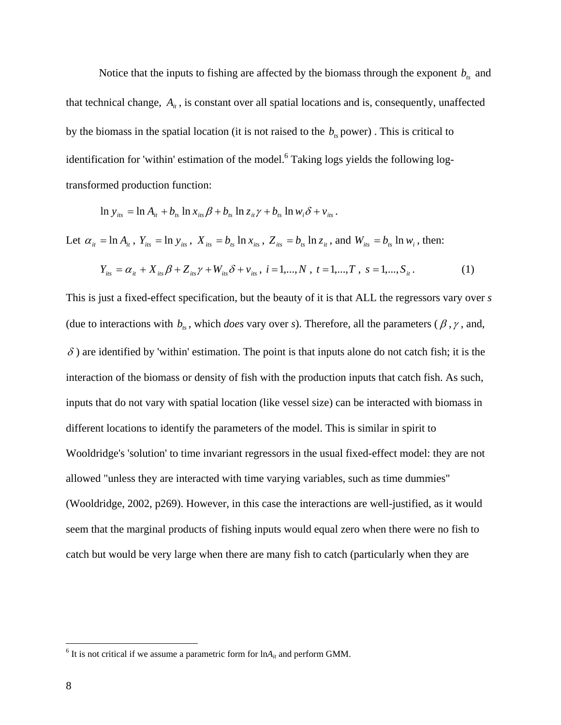Notice that the inputs to fishing are affected by the biomass through the exponent  $b_{ts}$  and that technical change,  $A_{ii}$ , is constant over all spatial locations and is, consequently, unaffected by the biomass in the spatial location (it is not raised to the  $b<sub>k</sub>$  power). This is critical to identification for 'within' estimation of the model.<sup>6</sup> Taking logs yields the following logtransformed production function:

$$
\ln y_{its} = \ln A_{it} + b_{ts} \ln x_{its} \beta + b_{ts} \ln z_{it} \gamma + b_{ts} \ln w_{i} \delta + v_{its}.
$$

Let  $\alpha_{ii} = \ln A_{ii}$ ,  $Y_{its} = \ln y_{its}$ ,  $X_{its} = b_{ts} \ln x_{its}$ ,  $Z_{its} = b_{ts} \ln z_{it}$ , and  $W_{its} = b_{ts} \ln w_i$ , then:

$$
Y_{its} = \alpha_{it} + X_{its}\beta + Z_{its}\gamma + W_{its}\delta + \nu_{its}, \ i = 1,...,N, \ t = 1,...,T, \ s = 1,...,S_{it}.
$$
 (1)

This is just a fixed-effect specification, but the beauty of it is that ALL the regressors vary over *s* (due to interactions with  $b_{ts}$ , which *does* vary over *s*). Therefore, all the parameters ( $\beta$ ,  $\gamma$ , and,  $\delta$ ) are identified by 'within' estimation. The point is that inputs alone do not catch fish; it is the interaction of the biomass or density of fish with the production inputs that catch fish. As such, inputs that do not vary with spatial location (like vessel size) can be interacted with biomass in different locations to identify the parameters of the model. This is similar in spirit to Wooldridge's 'solution' to time invariant regressors in the usual fixed-effect model: they are not allowed "unless they are interacted with time varying variables, such as time dummies" (Wooldridge, 2002, p269). However, in this case the interactions are well-justified, as it would seem that the marginal products of fishing inputs would equal zero when there were no fish to catch but would be very large when there are many fish to catch (particularly when they are

 $<sup>6</sup>$  It is not critical if we assume a parametric form for  $ln A_{it}$  and perform GMM.</sup>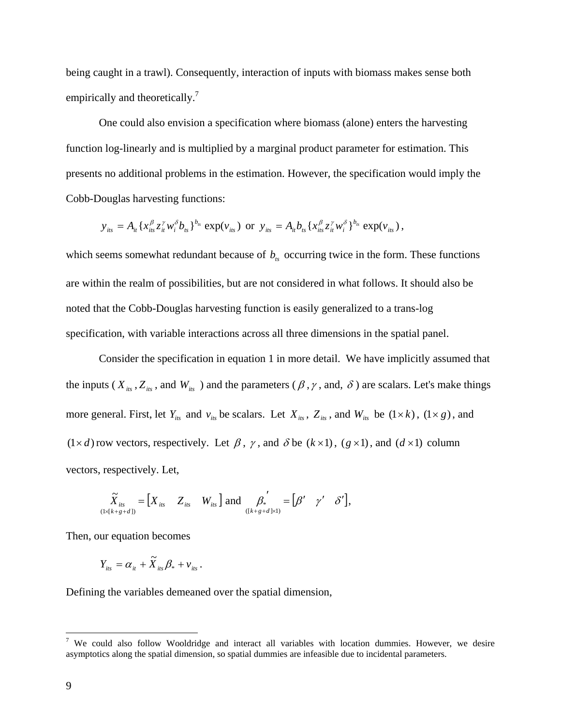being caught in a trawl). Consequently, interaction of inputs with biomass makes sense both empirically and theoretically.<sup>7</sup>

One could also envision a specification where biomass (alone) enters the harvesting function log-linearly and is multiplied by a marginal product parameter for estimation. This presents no additional problems in the estimation. However, the specification would imply the Cobb-Douglas harvesting functions:

$$
y_{its} = A_{it} \{ x_{its}^{\beta} z_{it}^{\gamma} w_i^{\delta} b_{ts} \}^{b_{ts}} \exp(v_{its}) \text{ or } y_{its} = A_{it} b_{ts} \{ x_{its}^{\beta} z_{it}^{\gamma} w_i^{\delta} \}^{b_{ts}} \exp(v_{its}),
$$

which seems somewhat redundant because of  $b<sub>ts</sub>$  occurring twice in the form. These functions are within the realm of possibilities, but are not considered in what follows. It should also be noted that the Cobb-Douglas harvesting function is easily generalized to a trans-log specification, with variable interactions across all three dimensions in the spatial panel.

Consider the specification in equation 1 in more detail. We have implicitly assumed that the inputs ( $X_{its}$ ,  $Z_{its}$ , and  $W_{its}$ ) and the parameters ( $\beta$ ,  $\gamma$ , and,  $\delta$ ) are scalars. Let's make things more general. First, let  $Y_{its}$  and  $V_{its}$  be scalars. Let  $X_{its}$ ,  $Z_{its}$ , and  $W_{its}$  be  $(1 \times k)$ ,  $(1 \times g)$ , and  $(1\times d)$  row vectors, respectively. Let  $\beta$ ,  $\gamma$ , and  $\delta$  be  $(k\times 1)$ ,  $(g\times 1)$ , and  $(d\times 1)$  column vectors, respectively. Let,

$$
\widetilde{X}_{its} = \begin{bmatrix} X_{its} & Z_{its} & W_{its} \end{bmatrix} \text{ and } \begin{bmatrix} A_{st} & B_{st} \end{bmatrix} = \begin{bmatrix} B' & \gamma' & \delta' \end{bmatrix},
$$

Then, our equation becomes

$$
Y_{its} = \alpha_{it} + \widetilde{X}_{its} \beta_{*} + v_{its}.
$$

Defining the variables demeaned over the spatial dimension,

T<br><sup>7</sup> We could also follow Wooldridge and interact all variables with location dummies. However, we desire asymptotics along the spatial dimension, so spatial dummies are infeasible due to incidental parameters.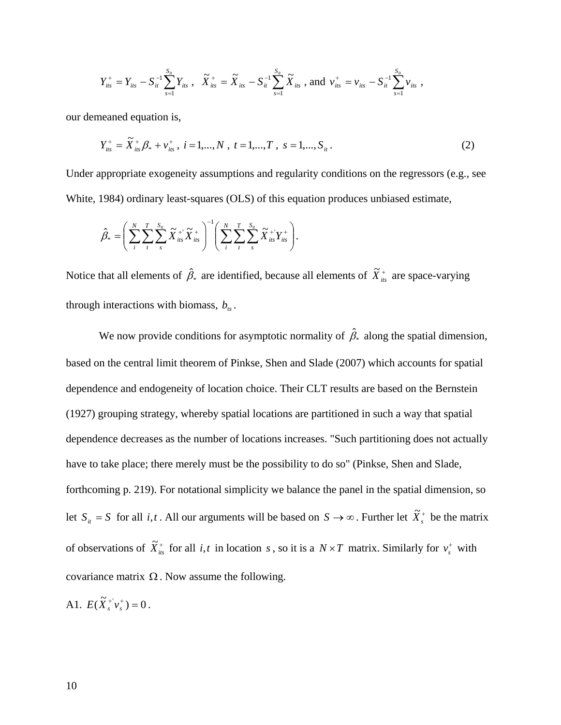$$
Y_{its}^{+} = Y_{its} - S_{it}^{-1} \sum_{s=1}^{S_{it}} Y_{its} , \quad \widetilde{X}_{its}^{+} = \widetilde{X}_{its} - S_{it}^{-1} \sum_{s=1}^{S_{it}} \widetilde{X}_{its} , \text{ and } v_{its}^{+} = v_{its} - S_{it}^{-1} \sum_{s=1}^{S_{it}} v_{its} ,
$$

our demeaned equation is,

$$
Y_{its}^{+} = \tilde{X}_{its}^{+} \beta_{*} + v_{its}^{+}, \ i = 1,...,N, \ t = 1,...,T, \ s = 1,...,S_{it}.
$$
 (2)

Under appropriate exogeneity assumptions and regularity conditions on the regressors (e.g., see White, 1984) ordinary least-squares (OLS) of this equation produces unbiased estimate,

$$
\hat{\beta}_* = \left(\sum_i^N \sum_t^T \sum_s^{S_{it}} \widetilde{X}_{its}^{\dagger} \widetilde{X}_{its}^{\dagger}\right)^{-1} \left(\sum_i^N \sum_t^T \sum_s^{S_{it}} \widetilde{X}_{its}^{\dagger} \widetilde{Y}_{its}^{\dagger}\right).
$$

Notice that all elements of  $\hat{\beta}_*$  are identified, because all elements of  $\tilde{X}^+_{is}$  are space-varying through interactions with biomass,  $b_{ts}$ .

We now provide conditions for asymptotic normality of  $\hat{\beta}_*$  along the spatial dimension, based on the central limit theorem of Pinkse, Shen and Slade (2007) which accounts for spatial dependence and endogeneity of location choice. Their CLT results are based on the Bernstein (1927) grouping strategy, whereby spatial locations are partitioned in such a way that spatial dependence decreases as the number of locations increases. "Such partitioning does not actually have to take place; there merely must be the possibility to do so" (Pinkse, Shen and Slade, forthcoming p. 219). For notational simplicity we balance the panel in the spatial dimension, so let  $S_{it} = S$  for all *i*, *t*. All our arguments will be based on  $S \to \infty$ . Further let  $\tilde{X}_s^+$  be the matrix of observations of  $\tilde{X}_{its}^+$  for all *i*, *t* in location *s*, so it is a  $N \times T$  matrix. Similarly for  $v_s^+$  with covariance matrix  $\Omega$ . Now assume the following.

A1.  $E(\tilde{X}_s^+ v_s^+) = 0$ .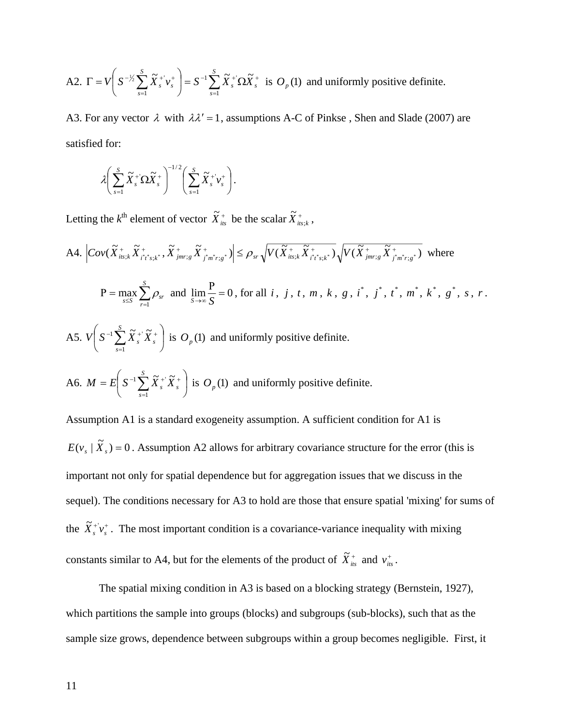A2. 
$$
\Gamma = V \left( S^{-\frac{1}{2}} \sum_{s=1}^{S} \tilde{X}_{s}^{+} v_{s}^{+} \right) = S^{-1} \sum_{s=1}^{S} \tilde{X}_{s}^{+} \Omega \tilde{X}_{s}^{+}
$$
 is  $O_{p}(1)$  and uniformly positive definite.

A3. For any vector  $\lambda$  with  $\lambda \lambda' = 1$ , assumptions A-C of Pinkse, Shen and Slade (2007) are satisfied for:

$$
\lambda \bigg(\sum_{s=1}^S \widetilde{X}_s^+ \Omega \widetilde{X}_s^+\bigg)^{-1/2} \bigg(\sum_{s=1}^S \widetilde{X}_s^+ \nu_s^+\bigg).
$$

Letting the  $k^{\text{th}}$  element of vector  $\widetilde{X}_{its}^{+}$  be the scalar  $\widetilde{X}_{its;k}^{+}$ ,

⎠

*s*

1

A4. 
$$
\left| \text{Cov}(\tilde{X}_{\text{ins};k}^+ \tilde{X}_{i^*i^*s;k}^+, \tilde{X}_{\text{jmr};g}^+ \tilde{X}_{j^*m^*r,g}^+ ) \right| \leq \rho_{sr} \sqrt{V(\tilde{X}_{\text{ins};k}^+ \tilde{X}_{i^*i^*s;k}^+)} \sqrt{V(\tilde{X}_{\text{jmr};g}^+ \tilde{X}_{j^*m^*r,g}^+)} \text{ where }
$$
\n
$$
P = \max_{s \leq S} \sum_{r=1}^S \rho_{sr} \text{ and } \lim_{S \to \infty} \frac{P}{S} = 0 \text{, for all } i, j, t, m, k, g, i^*, j^*, t^*, m^*, k^*, g^*, s, r.
$$
\nA5. 
$$
V \left( S^{-1} \sum_{s=1}^S \tilde{X}_s^+ \tilde{X}_s^+ \right) \text{ is } O_p(1) \text{ and uniformly positive definite.}
$$
\nA6. 
$$
M = E \left( S^{-1} \sum_{s=1}^S \tilde{X}_s^+ \tilde{X}_s^+ \right) \text{ is } O_p(1) \text{ and uniformly positive definite.}
$$

Assumption A1 is a standard exogeneity assumption. A sufficient condition for A1 is  $E(v_s | \tilde{X}_s) = 0$ . Assumption A2 allows for arbitrary covariance structure for the error (this is important not only for spatial dependence but for aggregation issues that we discuss in the sequel). The conditions necessary for A3 to hold are those that ensure spatial 'mixing' for sums of the  $\tilde{X}_{s}^{+}v_{s}^{+}$ . The most important condition is a covariance-variance inequality with mixing constants similar to A4, but for the elements of the product of  $\tilde{X}_{its}^{+}$  and  $v_{its}^{+}$ .

The spatial mixing condition in A3 is based on a blocking strategy (Bernstein, 1927), which partitions the sample into groups (blocks) and subgroups (sub-blocks), such that as the sample size grows, dependence between subgroups within a group becomes negligible. First, it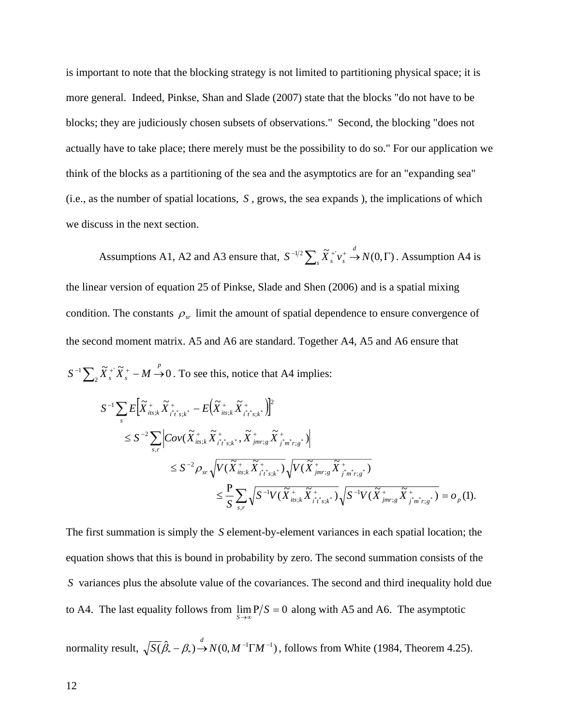is important to note that the blocking strategy is not limited to partitioning physical space; it is more general. Indeed, Pinkse, Shan and Slade (2007) state that the blocks "do not have to be blocks; they are judiciously chosen subsets of observations." Second, the blocking "does not actually have to take place; there merely must be the possibility to do so." For our application we think of the blocks as a partitioning of the sea and the asymptotics are for an "expanding sea" (i.e., as the number of spatial locations, *S* , grows, the sea expands ), the implications of which we discuss in the next section.

Assumptions A1, A2 and A3 ensure that,  $S^{-1/2} \sum_{s} \tilde{X}_{s}^{+} v_{s}^{+} \rightarrow N(0, \Gamma)$ . Assumption A4 is the linear version of equation 25 of Pinkse, Slade and Shen (2006) and is a spatial mixing condition. The constants  $\rho_{sr}$  limit the amount of spatial dependence to ensure convergence of the second moment matrix. A5 and A6 are standard. Together A4, A5 and A6 ensure that

$$
S^{-1}\sum_{2}\tilde{X}_{s}^{+}\tilde{X}_{s}^{+}-M\stackrel{p}{\rightarrow}0
$$
. To see this, notice that A4 implies:

$$
S^{-1} \sum_{s} E\Big[\widetilde{X}_{its;k}^{+} \widetilde{X}_{i^{*}s;k^{*}}^{+} - E\Big(\widetilde{X}_{its;k}^{+} \widetilde{X}_{i^{*}s;k^{*}}^{+}\Big)\Big]^{2}
$$
  
\n
$$
\leq S^{-2} \sum_{s,r} \Big| Cov(\widetilde{X}_{its;k}^{+} \widetilde{X}_{i^{*}s;k^{*}}^{+}, \widetilde{X}_{jmr;s}^{+} \widetilde{X}_{j^{*}m^{*}r;s^{*}}^{+}) \Big|
$$
  
\n
$$
\leq S^{-2} \rho_{sr} \sqrt{V(\widetilde{X}_{its;k}^{+} \widetilde{X}_{i^{*}s;k^{*}}^{+})} \sqrt{V(\widetilde{X}_{jmr;s}^{+} \widetilde{X}_{j^{*}m^{*}r;s^{*}}^{+})}
$$
  
\n
$$
\leq \frac{P}{S} \sum_{s,r} \sqrt{S^{-1}V(\widetilde{X}_{its;k}^{+} \widetilde{X}_{i^{*}s;k^{*}}^{+})} \sqrt{S^{-1}V(\widetilde{X}_{jmr;s}^{+} \widetilde{X}_{j^{*}m^{*}r;s^{*}}^{+})} = o_{p}(1).
$$

The first summation is simply the *S* element-by-element variances in each spatial location; the equation shows that this is bound in probability by zero. The second summation consists of the *S* variances plus the absolute value of the covariances. The second and third inequality hold due to A4. The last equality follows from  $\lim_{S \to \infty} P/S = 0$  along with A5 and A6. The asymptotic

normality result,  $\sqrt{S(\hat{\beta}_* - \beta_*)} \rightarrow N(0, M^{-1} \Gamma M^{-1})$ , follows from White (1984, Theorem 4.25).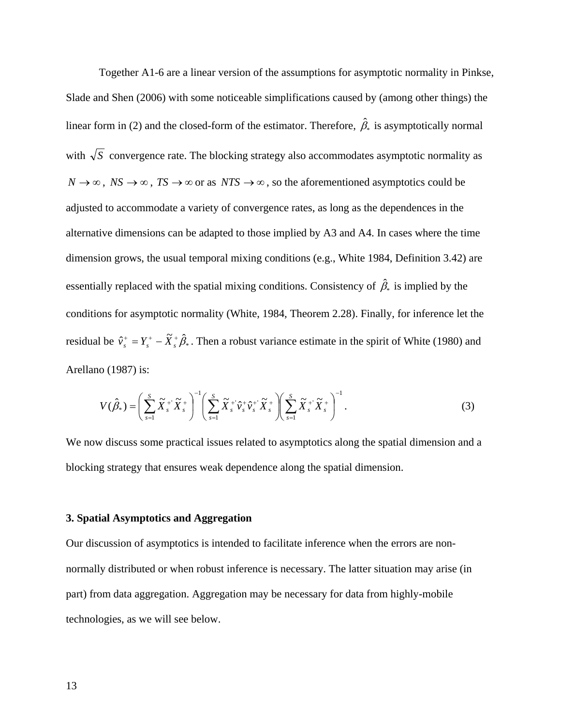Together A1-6 are a linear version of the assumptions for asymptotic normality in Pinkse, Slade and Shen (2006) with some noticeable simplifications caused by (among other things) the linear form in (2) and the closed-form of the estimator. Therefore,  $\hat{\beta}_*$  is asymptotically normal with  $\sqrt{S}$  convergence rate. The blocking strategy also accommodates asymptotic normality as  $N \to \infty$ ,  $NS \to \infty$ ,  $TS \to \infty$  or as  $NTS \to \infty$ , so the aforementioned asymptotics could be adjusted to accommodate a variety of convergence rates, as long as the dependences in the alternative dimensions can be adapted to those implied by A3 and A4. In cases where the time dimension grows, the usual temporal mixing conditions (e.g., White 1984, Definition 3.42) are essentially replaced with the spatial mixing conditions. Consistency of  $\hat{\beta}_*$  is implied by the conditions for asymptotic normality (White, 1984, Theorem 2.28). Finally, for inference let the residual be  $\hat{v}_s^+ = Y_s^+ - \tilde{X}_s^+ \hat{\beta}_s$ . Then a robust variance estimate in the spirit of White (1980) and Arellano (1987) is:

$$
V(\hat{\beta}_*) = \left(\sum_{s=1}^S \widetilde{X}_s^+ \widetilde{X}_s^+\right)^{-1} \left(\sum_{s=1}^S \widetilde{X}_s^+ \widehat{\nu}_s^+ \widehat{\nu}_s^+ \widetilde{X}_s^+\right) \left(\sum_{s=1}^S \widetilde{X}_s^+ \widetilde{X}_s^+\right)^{-1}.
$$
\n(3)

We now discuss some practical issues related to asymptotics along the spatial dimension and a blocking strategy that ensures weak dependence along the spatial dimension.

### **3. Spatial Asymptotics and Aggregation**

Our discussion of asymptotics is intended to facilitate inference when the errors are nonnormally distributed or when robust inference is necessary. The latter situation may arise (in part) from data aggregation. Aggregation may be necessary for data from highly-mobile technologies, as we will see below.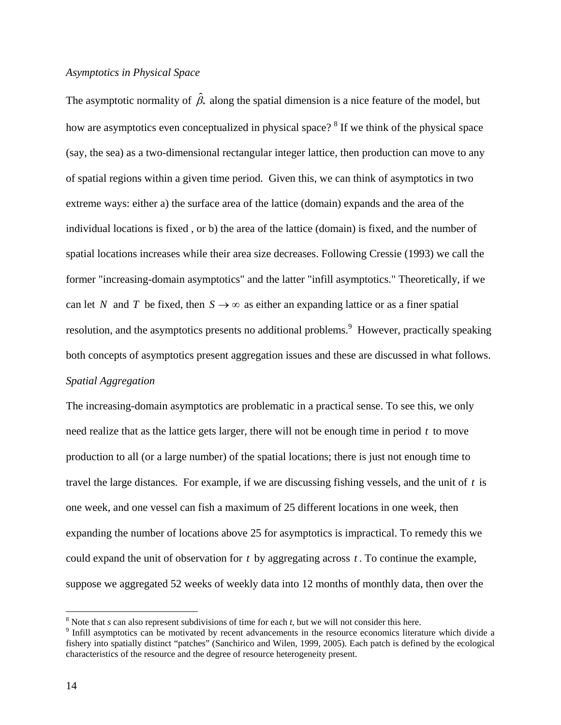### *Asymptotics in Physical Space*

The asymptotic normality of  $\hat{\beta}_*$  along the spatial dimension is a nice feature of the model, but how are asymptotics even conceptualized in physical space?  $8$  If we think of the physical space (say, the sea) as a two-dimensional rectangular integer lattice, then production can move to any of spatial regions within a given time period. Given this, we can think of asymptotics in two extreme ways: either a) the surface area of the lattice (domain) expands and the area of the individual locations is fixed , or b) the area of the lattice (domain) is fixed, and the number of spatial locations increases while their area size decreases. Following Cressie (1993) we call the former "increasing-domain asymptotics" and the latter "infill asymptotics." Theoretically, if we can let *N* and *T* be fixed, then  $S \rightarrow \infty$  as either an expanding lattice or as a finer spatial resolution, and the asymptotics presents no additional problems. <sup>9</sup> However, practically speaking both concepts of asymptotics present aggregation issues and these are discussed in what follows. *Spatial Aggregation* 

The increasing-domain asymptotics are problematic in a practical sense. To see this, we only need realize that as the lattice gets larger, there will not be enough time in period *t* to move production to all (or a large number) of the spatial locations; there is just not enough time to travel the large distances. For example, if we are discussing fishing vessels, and the unit of *t* is one week, and one vessel can fish a maximum of 25 different locations in one week, then expanding the number of locations above 25 for asymptotics is impractical. To remedy this we could expand the unit of observation for *t* by aggregating across *t* . To continue the example, suppose we aggregated 52 weeks of weekly data into 12 months of monthly data, then over the

 $8$  Note that *s* can also represent subdivisions of time for each *t*, but we will not consider this here.

<sup>&</sup>lt;sup>9</sup> Infill asymptotics can be motivated by recent advancements in the resource economics literature which divide a fishery into spatially distinct "patches" (Sanchirico and Wilen, 1999, 2005). Each patch is defined by the ecological characteristics of the resource and the degree of resource heterogeneity present.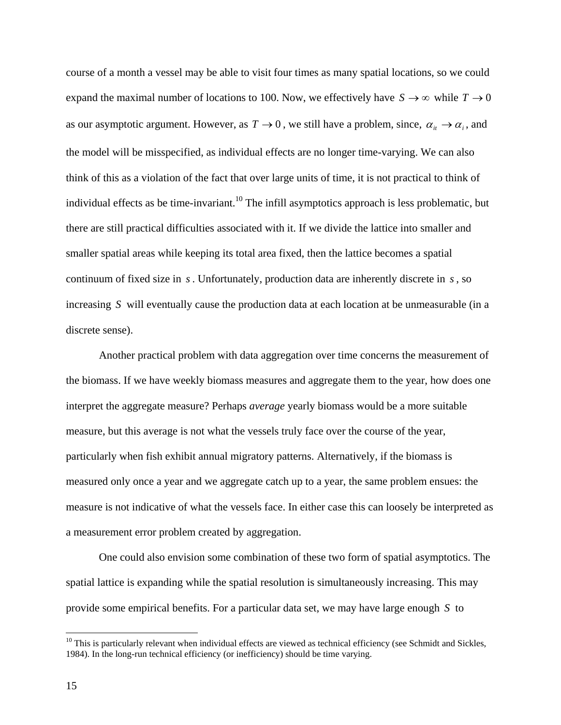course of a month a vessel may be able to visit four times as many spatial locations, so we could expand the maximal number of locations to 100. Now, we effectively have  $S \to \infty$  while  $T \to 0$ as our asymptotic argument. However, as  $T \to 0$ , we still have a problem, since,  $\alpha_{it} \to \alpha_i$ , and the model will be misspecified, as individual effects are no longer time-varying. We can also think of this as a violation of the fact that over large units of time, it is not practical to think of individual effects as be time-invariant.<sup>10</sup> The infill asymptotics approach is less problematic, but there are still practical difficulties associated with it. If we divide the lattice into smaller and smaller spatial areas while keeping its total area fixed, then the lattice becomes a spatial continuum of fixed size in *s* . Unfortunately, production data are inherently discrete in *s* , so increasing *S* will eventually cause the production data at each location at be unmeasurable (in a discrete sense).

 Another practical problem with data aggregation over time concerns the measurement of the biomass. If we have weekly biomass measures and aggregate them to the year, how does one interpret the aggregate measure? Perhaps *average* yearly biomass would be a more suitable measure, but this average is not what the vessels truly face over the course of the year, particularly when fish exhibit annual migratory patterns. Alternatively, if the biomass is measured only once a year and we aggregate catch up to a year, the same problem ensues: the measure is not indicative of what the vessels face. In either case this can loosely be interpreted as a measurement error problem created by aggregation.

 One could also envision some combination of these two form of spatial asymptotics. The spatial lattice is expanding while the spatial resolution is simultaneously increasing. This may provide some empirical benefits. For a particular data set, we may have large enough *S* to

 $10$  This is particularly relevant when individual effects are viewed as technical efficiency (see Schmidt and Sickles, 1984). In the long-run technical efficiency (or inefficiency) should be time varying.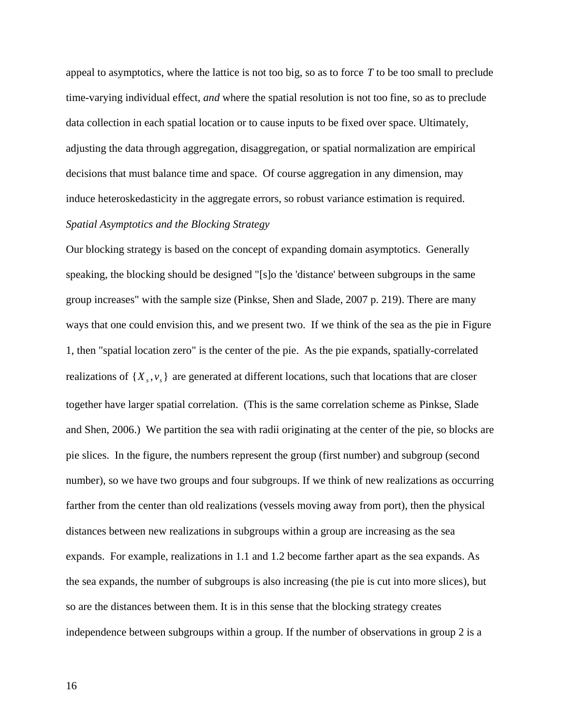appeal to asymptotics, where the lattice is not too big, so as to force *T* to be too small to preclude time-varying individual effect, *and* where the spatial resolution is not too fine, so as to preclude data collection in each spatial location or to cause inputs to be fixed over space. Ultimately, adjusting the data through aggregation, disaggregation, or spatial normalization are empirical decisions that must balance time and space. Of course aggregation in any dimension, may induce heteroskedasticity in the aggregate errors, so robust variance estimation is required. *Spatial Asymptotics and the Blocking Strategy*

Our blocking strategy is based on the concept of expanding domain asymptotics. Generally speaking, the blocking should be designed "[s]o the 'distance' between subgroups in the same group increases" with the sample size (Pinkse, Shen and Slade, 2007 p. 219). There are many ways that one could envision this, and we present two. If we think of the sea as the pie in Figure 1, then "spatial location zero" is the center of the pie. As the pie expands, spatially-correlated realizations of  $\{X_s, v_s\}$  are generated at different locations, such that locations that are closer together have larger spatial correlation. (This is the same correlation scheme as Pinkse, Slade and Shen, 2006.) We partition the sea with radii originating at the center of the pie, so blocks are pie slices. In the figure, the numbers represent the group (first number) and subgroup (second number), so we have two groups and four subgroups. If we think of new realizations as occurring farther from the center than old realizations (vessels moving away from port), then the physical distances between new realizations in subgroups within a group are increasing as the sea expands. For example, realizations in 1.1 and 1.2 become farther apart as the sea expands. As the sea expands, the number of subgroups is also increasing (the pie is cut into more slices), but so are the distances between them. It is in this sense that the blocking strategy creates independence between subgroups within a group. If the number of observations in group 2 is a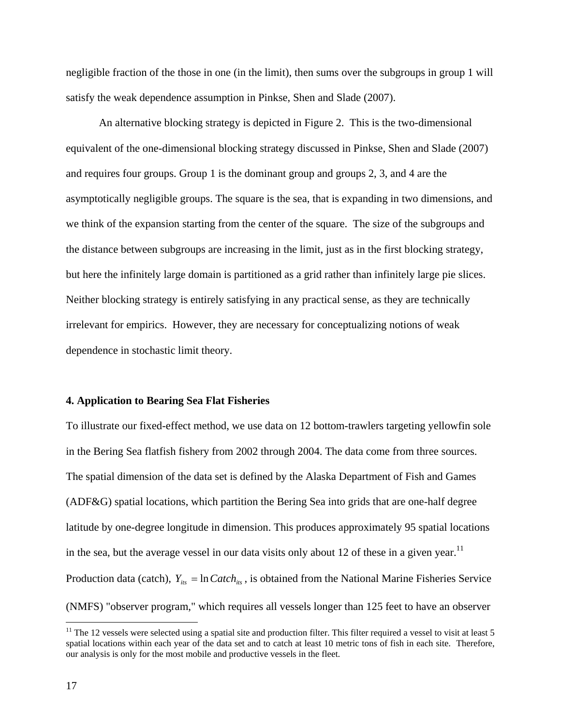negligible fraction of the those in one (in the limit), then sums over the subgroups in group 1 will satisfy the weak dependence assumption in Pinkse, Shen and Slade (2007).

 An alternative blocking strategy is depicted in Figure 2. This is the two-dimensional equivalent of the one-dimensional blocking strategy discussed in Pinkse, Shen and Slade (2007) and requires four groups. Group 1 is the dominant group and groups 2, 3, and 4 are the asymptotically negligible groups. The square is the sea, that is expanding in two dimensions, and we think of the expansion starting from the center of the square. The size of the subgroups and the distance between subgroups are increasing in the limit, just as in the first blocking strategy, but here the infinitely large domain is partitioned as a grid rather than infinitely large pie slices. Neither blocking strategy is entirely satisfying in any practical sense, as they are technically irrelevant for empirics. However, they are necessary for conceptualizing notions of weak dependence in stochastic limit theory.

## **4. Application to Bearing Sea Flat Fisheries**

To illustrate our fixed-effect method, we use data on 12 bottom-trawlers targeting yellowfin sole in the Bering Sea flatfish fishery from 2002 through 2004. The data come from three sources. The spatial dimension of the data set is defined by the Alaska Department of Fish and Games (ADF&G) spatial locations, which partition the Bering Sea into grids that are one-half degree latitude by one-degree longitude in dimension. This produces approximately 95 spatial locations in the sea, but the average vessel in our data visits only about 12 of these in a given year.<sup>11</sup> Production data (catch),  $Y_{ik} = \ln Catch_{ik}$ , is obtained from the National Marine Fisheries Service (NMFS) "observer program," which requires all vessels longer than 125 feet to have an observer

 $11$  The 12 vessels were selected using a spatial site and production filter. This filter required a vessel to visit at least 5 spatial locations within each year of the data set and to catch at least 10 metric tons of fish in each site. Therefore, our analysis is only for the most mobile and productive vessels in the fleet.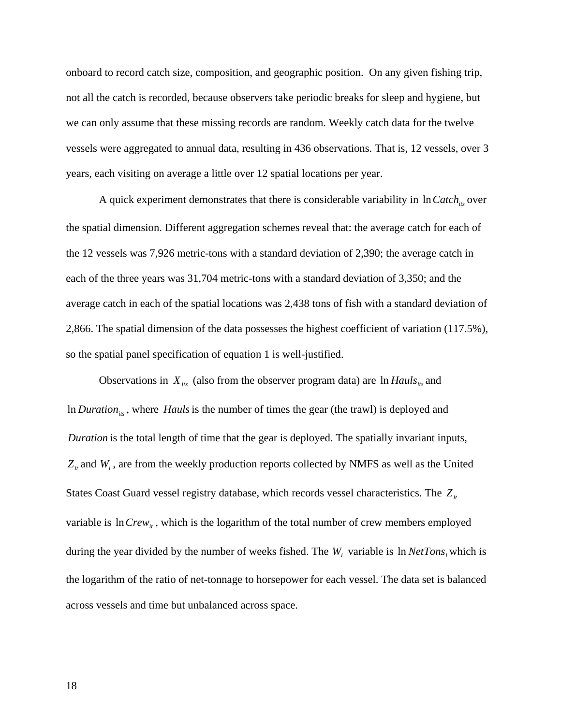onboard to record catch size, composition, and geographic position. On any given fishing trip, not all the catch is recorded, because observers take periodic breaks for sleep and hygiene, but we can only assume that these missing records are random. Weekly catch data for the twelve vessels were aggregated to annual data, resulting in 436 observations. That is, 12 vessels, over 3 years, each visiting on average a little over 12 spatial locations per year.

A quick experiment demonstrates that there is considerable variability in  $In Catch_{its}$  over the spatial dimension. Different aggregation schemes reveal that: the average catch for each of the 12 vessels was 7,926 metric-tons with a standard deviation of 2,390; the average catch in each of the three years was 31,704 metric-tons with a standard deviation of 3,350; and the average catch in each of the spatial locations was 2,438 tons of fish with a standard deviation of 2,866. The spatial dimension of the data possesses the highest coefficient of variation (117.5%), so the spatial panel specification of equation 1 is well-justified.

Observations in  $X_{ik}$  (also from the observer program data) are  $\ln$  *Hauls*<sub>its</sub> and In *Duration<sub>its</sub>*, where *Hauls* is the number of times the gear (the trawl) is deployed and *Duration* is the total length of time that the gear is deployed. The spatially invariant inputs,  $Z_{it}$  and  $W_i$ , are from the weekly production reports collected by NMFS as well as the United States Coast Guard vessel registry database, which records vessel characteristics. The  $Z_{it}$ variable is  $ln Crew_{it}$ , which is the logarithm of the total number of crew members employed during the year divided by the number of weeks fished. The  $W_i$  variable is  $\ln NetTons_i$  which is the logarithm of the ratio of net-tonnage to horsepower for each vessel. The data set is balanced across vessels and time but unbalanced across space.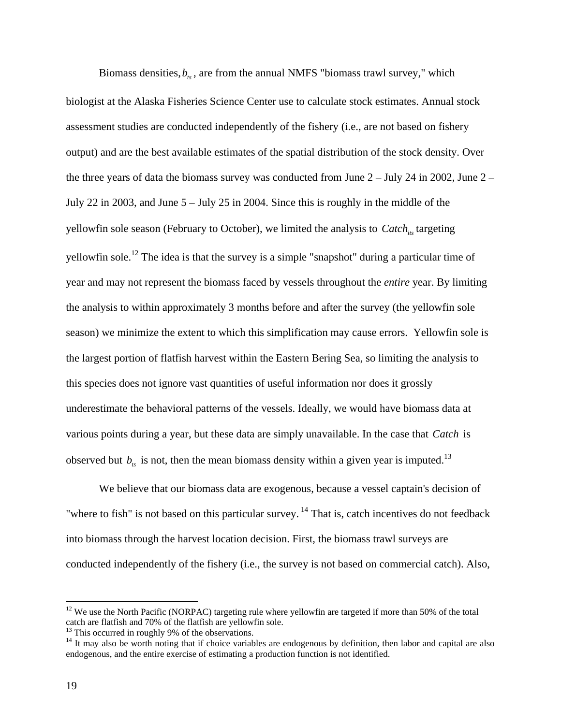Biomass densities,  $b_{\kappa}$ , are from the annual NMFS "biomass trawl survey," which biologist at the Alaska Fisheries Science Center use to calculate stock estimates. Annual stock assessment studies are conducted independently of the fishery (i.e., are not based on fishery output) and are the best available estimates of the spatial distribution of the stock density. Over the three years of data the biomass survey was conducted from June  $2 -$  July 24 in 2002, June  $2 -$ July 22 in 2003, and June 5 – July 25 in 2004. Since this is roughly in the middle of the yellowfin sole season (February to October), we limited the analysis to *Catch<sub>its</sub>* targeting yellowfin sole.<sup>12</sup> The idea is that the survey is a simple "snapshot" during a particular time of year and may not represent the biomass faced by vessels throughout the *entire* year. By limiting the analysis to within approximately 3 months before and after the survey (the yellowfin sole season) we minimize the extent to which this simplification may cause errors. Yellowfin sole is the largest portion of flatfish harvest within the Eastern Bering Sea, so limiting the analysis to this species does not ignore vast quantities of useful information nor does it grossly underestimate the behavioral patterns of the vessels. Ideally, we would have biomass data at various points during a year, but these data are simply unavailable. In the case that *Catch* is observed but  $b_{ts}$  is not, then the mean biomass density within a given year is imputed.<sup>13</sup>

We believe that our biomass data are exogenous, because a vessel captain's decision of "where to fish" is not based on this particular survey.<sup>14</sup> That is, catch incentives do not feedback into biomass through the harvest location decision. First, the biomass trawl surveys are conducted independently of the fishery (i.e., the survey is not based on commercial catch). Also,

 $12$  We use the North Pacific (NORPAC) targeting rule where yellowfin are targeted if more than 50% of the total catch are flatfish and 70% of the flatfish are yellowfin sole. 13 This occurred in roughly 9% of the observations.

<sup>&</sup>lt;sup>14</sup> It may also be worth noting that if choice variables are endogenous by definition, then labor and capital are also endogenous, and the entire exercise of estimating a production function is not identified.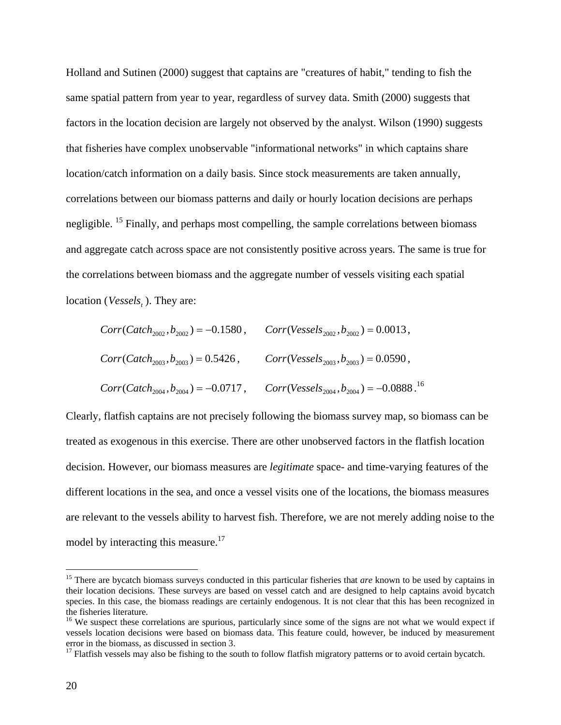Holland and Sutinen (2000) suggest that captains are "creatures of habit," tending to fish the same spatial pattern from year to year, regardless of survey data. Smith (2000) suggests that factors in the location decision are largely not observed by the analyst. Wilson (1990) suggests that fisheries have complex unobservable "informational networks" in which captains share location/catch information on a daily basis. Since stock measurements are taken annually, correlations between our biomass patterns and daily or hourly location decisions are perhaps negligible. <sup>15</sup> Finally, and perhaps most compelling, the sample correlations between biomass and aggregate catch across space are not consistently positive across years. The same is true for the correlations between biomass and the aggregate number of vessels visiting each spatial location (*Vessels*, ). They are:

$$
Corr(Catch_{2002}, b_{2002}) = -0.1580, \qquad Corr(Vessels_{2002}, b_{2002}) = 0.0013,
$$
  
\n
$$
Corr(Catch_{2003}, b_{2003}) = 0.5426, \qquad Corr(Vessels_{2003}, b_{2003}) = 0.0590,
$$
  
\n
$$
Corr(Catch_{2004}, b_{2004}) = -0.0717, \qquad Corr(Vessels_{2004}, b_{2004}) = -0.0888.
$$
<sup>16</sup>

Clearly, flatfish captains are not precisely following the biomass survey map, so biomass can be treated as exogenous in this exercise. There are other unobserved factors in the flatfish location decision. However, our biomass measures are *legitimate* space- and time-varying features of the different locations in the sea, and once a vessel visits one of the locations, the biomass measures are relevant to the vessels ability to harvest fish. Therefore, we are not merely adding noise to the model by interacting this measure.<sup>17</sup>

<sup>&</sup>lt;sup>15</sup> There are bycatch biomass surveys conducted in this particular fisheries that *are* known to be used by captains in their location decisions. These surveys are based on vessel catch and are designed to help captains avoid bycatch species. In this case, the biomass readings are certainly endogenous. It is not clear that this has been recognized in the fisheries literature.

<sup>&</sup>lt;sup>16</sup> We suspect these correlations are spurious, particularly since some of the signs are not what we would expect if vessels location decisions were based on biomass data. This feature could, however, be induced by measurement error in the biomass, as discussed in section 3.

 $17$  Flatfish vessels may also be fishing to the south to follow flatfish migratory patterns or to avoid certain bycatch.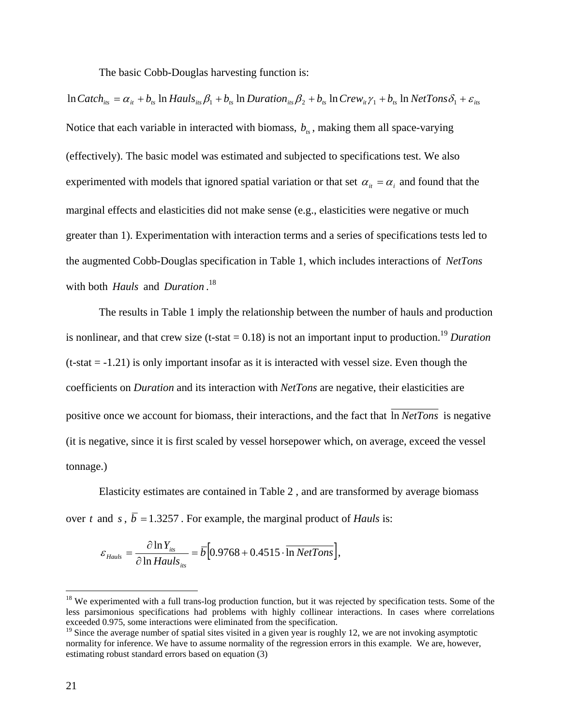The basic Cobb-Douglas harvesting function is:

 $\ln$  *Catch*<sub>its</sub> =  $\alpha_{it} + b_{ts} \ln$  *Hauls*<sub>its</sub>  $\beta_1 + b_{ts} \ln$  *Duration*<sub>its</sub>  $\beta_2 + b_{ts} \ln$  *Crew*<sub>it</sub>  $\gamma_1 + b_{ts} \ln$  *NetTons*  $\delta_1 + \varepsilon_{its}$ Notice that each variable in interacted with biomass,  $b_{\kappa}$ , making them all space-varying (effectively). The basic model was estimated and subjected to specifications test. We also experimented with models that ignored spatial variation or that set  $\alpha_{i} = \alpha_{i}$  and found that the marginal effects and elasticities did not make sense (e.g., elasticities were negative or much greater than 1). Experimentation with interaction terms and a series of specifications tests led to the augmented Cobb-Douglas specification in Table 1, which includes interactions of *NetTons* with both *Hauls* and *Duration* . 18

 The results in Table 1 imply the relationship between the number of hauls and production is nonlinear, and that crew size  $(t-$ stat  $= 0.18)$  is not an important input to production.<sup>19</sup> *Duration*  $(t-stat = -1.21)$  is only important insofar as it is interacted with vessel size. Even though the coefficients on *Duration* and its interaction with *NetTons* are negative, their elasticities are positive once we account for biomass, their interactions, and the fact that  $\overline{\ln NetTons}$  is negative (it is negative, since it is first scaled by vessel horsepower which, on average, exceed the vessel tonnage.)

Elasticity estimates are contained in Table 2 , and are transformed by average biomass over *t* and *s*,  $\overline{b} = 1.3257$ . For example, the marginal product of *Hauls* is:

$$
\varepsilon_{Hauls} = \frac{\partial \ln Y_{its}}{\partial \ln Hauls_{its}} = \overline{b} \Big[ 0.9768 + 0.4515 \cdot \overline{\ln NetTons} \Big],
$$

 $18$  We experimented with a full trans-log production function, but it was rejected by specification tests. Some of the less parsimonious specifications had problems with highly collinear interactions. In cases where correlations exceeded 0.975, some interactions were eliminated from the specification.

 $19$  Since the average number of spatial sites visited in a given year is roughly 12, we are not invoking asymptotic normality for inference. We have to assume normality of the regression errors in this example. We are, however, estimating robust standard errors based on equation (3)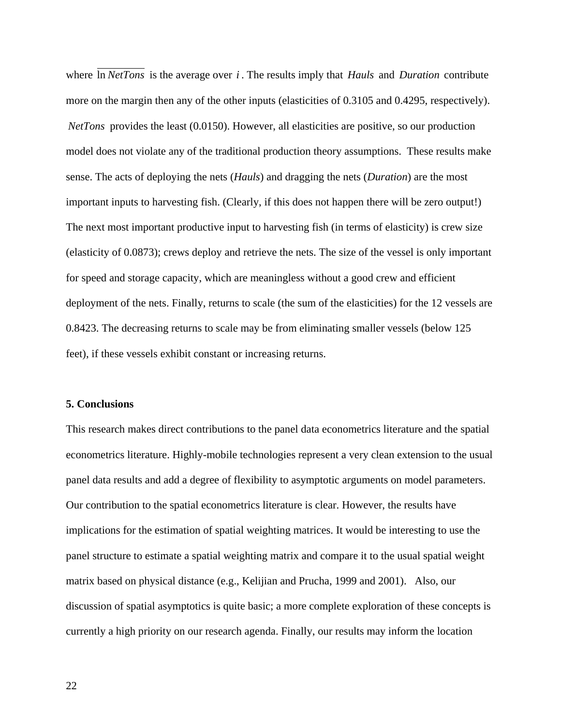where ln *NetTons* is the average over *i* . The results imply that *Hauls* and *Duration* contribute more on the margin then any of the other inputs (elasticities of 0.3105 and 0.4295, respectively). *NetTons* provides the least (0.0150). However, all elasticities are positive, so our production model does not violate any of the traditional production theory assumptions. These results make sense. The acts of deploying the nets (*Hauls*) and dragging the nets (*Duration*) are the most important inputs to harvesting fish. (Clearly, if this does not happen there will be zero output!) The next most important productive input to harvesting fish (in terms of elasticity) is crew size (elasticity of 0.0873); crews deploy and retrieve the nets. The size of the vessel is only important for speed and storage capacity, which are meaningless without a good crew and efficient deployment of the nets. Finally, returns to scale (the sum of the elasticities) for the 12 vessels are 0.8423. The decreasing returns to scale may be from eliminating smaller vessels (below 125 feet), if these vessels exhibit constant or increasing returns.

#### **5. Conclusions**

This research makes direct contributions to the panel data econometrics literature and the spatial econometrics literature. Highly-mobile technologies represent a very clean extension to the usual panel data results and add a degree of flexibility to asymptotic arguments on model parameters. Our contribution to the spatial econometrics literature is clear. However, the results have implications for the estimation of spatial weighting matrices. It would be interesting to use the panel structure to estimate a spatial weighting matrix and compare it to the usual spatial weight matrix based on physical distance (e.g., Kelijian and Prucha, 1999 and 2001). Also, our discussion of spatial asymptotics is quite basic; a more complete exploration of these concepts is currently a high priority on our research agenda. Finally, our results may inform the location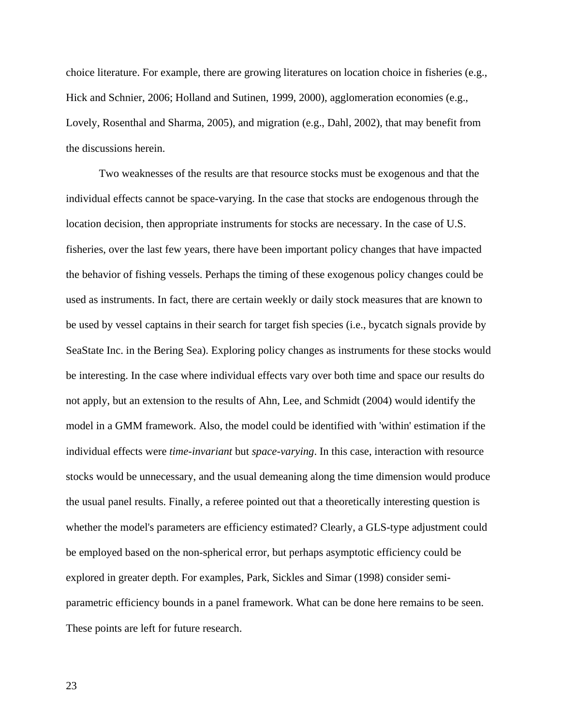choice literature. For example, there are growing literatures on location choice in fisheries (e.g., Hick and Schnier, 2006; Holland and Sutinen, 1999, 2000), agglomeration economies (e.g., Lovely, Rosenthal and Sharma, 2005), and migration (e.g., Dahl, 2002), that may benefit from the discussions herein.

Two weaknesses of the results are that resource stocks must be exogenous and that the individual effects cannot be space-varying. In the case that stocks are endogenous through the location decision, then appropriate instruments for stocks are necessary. In the case of U.S. fisheries, over the last few years, there have been important policy changes that have impacted the behavior of fishing vessels. Perhaps the timing of these exogenous policy changes could be used as instruments. In fact, there are certain weekly or daily stock measures that are known to be used by vessel captains in their search for target fish species (i.e., bycatch signals provide by SeaState Inc. in the Bering Sea). Exploring policy changes as instruments for these stocks would be interesting. In the case where individual effects vary over both time and space our results do not apply, but an extension to the results of Ahn, Lee, and Schmidt (2004) would identify the model in a GMM framework. Also, the model could be identified with 'within' estimation if the individual effects were *time-invariant* but *space-varying*. In this case, interaction with resource stocks would be unnecessary, and the usual demeaning along the time dimension would produce the usual panel results. Finally, a referee pointed out that a theoretically interesting question is whether the model's parameters are efficiency estimated? Clearly, a GLS-type adjustment could be employed based on the non-spherical error, but perhaps asymptotic efficiency could be explored in greater depth. For examples, Park, Sickles and Simar (1998) consider semiparametric efficiency bounds in a panel framework. What can be done here remains to be seen. These points are left for future research.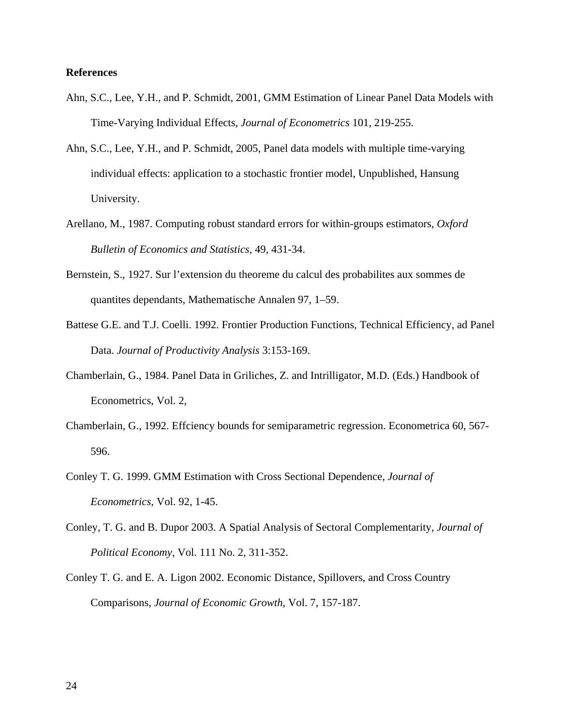### **References**

- Ahn, S.C., Lee, Y.H., and P. Schmidt, 2001, GMM Estimation of Linear Panel Data Models with Time-Varying Individual Effects, *Journal of Econometrics* 101, 219-255.
- Ahn, S.C., Lee, Y.H., and P. Schmidt, 2005, Panel data models with multiple time-varying individual effects: application to a stochastic frontier model, Unpublished, Hansung University.
- Arellano, M., 1987. Computing robust standard errors for within-groups estimators, *Oxford Bulletin of Economics and Statistics*, 49, 431-34.
- Bernstein, S., 1927. Sur l'extension du theoreme du calcul des probabilites aux sommes de quantites dependants, Mathematische Annalen 97, 1–59.
- Battese G.E. and T.J. Coelli. 1992. Frontier Production Functions, Technical Efficiency, ad Panel Data. *Journal of Productivity Analysis* 3:153-169.
- Chamberlain, G., 1984. Panel Data in Griliches, Z. and Intrilligator, M.D. (Eds.) Handbook of Econometrics, Vol. 2,
- Chamberlain, G., 1992. Effciency bounds for semiparametric regression. Econometrica 60, 567- 596.
- Conley T. G. 1999. GMM Estimation with Cross Sectional Dependence, *Journal of Econometrics*, Vol. 92, 1-45.
- Conley, T. G. and B. Dupor 2003. A Spatial Analysis of Sectoral Complementarity, *Journal of Political Economy*, Vol. 111 No. 2, 311-352.
- Conley T. G. and E. A. Ligon 2002. Economic Distance, Spillovers, and Cross Country Comparisons, *Journal of Economic Growth*, Vol. 7, 157-187.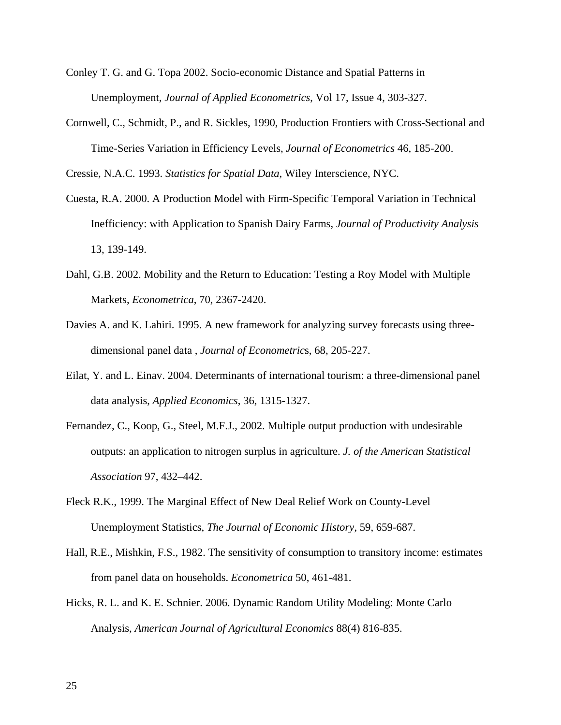- Conley T. G. and G. Topa 2002. Socio-economic Distance and Spatial Patterns in Unemployment, *Journal of Applied Econometrics*, Vol 17, Issue 4, 303-327.
- Cornwell, C., Schmidt, P., and R. Sickles, 1990, Production Frontiers with Cross-Sectional and Time-Series Variation in Efficiency Levels, *Journal of Econometrics* 46, 185-200.

Cressie, N.A.C. 1993. *Statistics for Spatial Data*, Wiley Interscience, NYC.

- Cuesta, R.A. 2000. A Production Model with Firm-Specific Temporal Variation in Technical Inefficiency: with Application to Spanish Dairy Farms, *Journal of Productivity Analysis* 13, 139-149.
- Dahl, G.B. 2002. Mobility and the Return to Education: Testing a Roy Model with Multiple Markets, *Econometrica*, 70, 2367-2420.
- Davies A. and K. Lahiri. 1995. A new framework for analyzing survey forecasts using threedimensional panel data , *Journal of Econometric*s, 68, 205-227.
- Eilat, Y. and L. Einav. 2004. Determinants of international tourism: a three-dimensional panel data analysis, *Applied Economics*, 36, 1315-1327.
- Fernandez, C., Koop, G., Steel, M.F.J., 2002. Multiple output production with undesirable outputs: an application to nitrogen surplus in agriculture. *J. of the American Statistical Association* 97, 432–442.
- Fleck R.K., 1999. The Marginal Effect of New Deal Relief Work on County-Level Unemployment Statistics, *The Journal of Economic History*, 59, 659-687.
- Hall, R.E., Mishkin, F.S., 1982. The sensitivity of consumption to transitory income: estimates from panel data on households. *Econometrica* 50, 461-481.
- Hicks, R. L. and K. E. Schnier. 2006. Dynamic Random Utility Modeling: Monte Carlo Analysis, *American Journal of Agricultural Economics* 88(4) 816-835.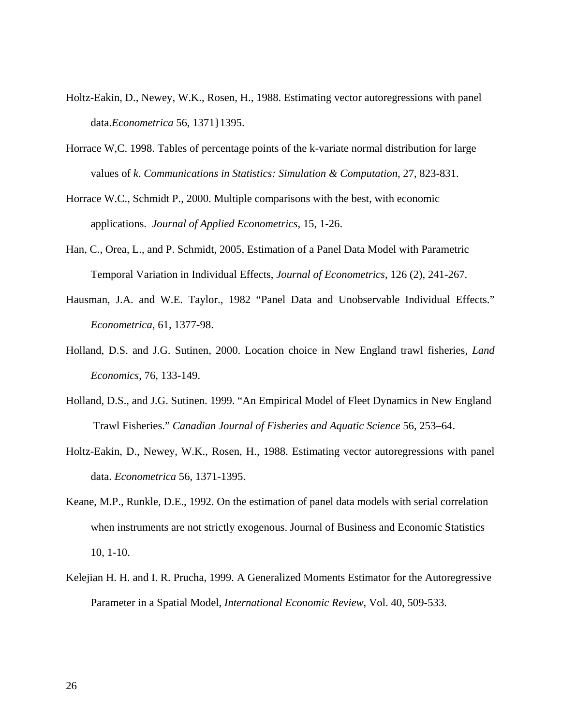- Holtz-Eakin, D., Newey, W.K., Rosen, H., 1988. Estimating vector autoregressions with panel data.*Econometrica* 56, 1371}1395.
- Horrace W,C. 1998. Tables of percentage points of the k-variate normal distribution for large values of *k*. *Communications in Statistics: Simulation & Computation*, 27, 823-831.
- Horrace W.C., Schmidt P., 2000. Multiple comparisons with the best, with economic applications. *Journal of Applied Econometrics*, 15, 1-26.
- Han, C., Orea, L., and P. Schmidt, 2005, Estimation of a Panel Data Model with Parametric Temporal Variation in Individual Effects, *Journal of Econometrics*, 126 (2), 241-267.
- Hausman, J.A. and W.E. Taylor., 1982 "Panel Data and Unobservable Individual Effects." *Econometrica*, 61, 1377-98.
- Holland, D.S. and J.G. Sutinen, 2000. Location choice in New England trawl fisheries, *Land Economics*, 76, 133-149.
- Holland, D.S., and J.G. Sutinen. 1999. "An Empirical Model of Fleet Dynamics in New England Trawl Fisheries." *Canadian Journal of Fisheries and Aquatic Science* 56, 253–64.
- Holtz-Eakin, D., Newey, W.K., Rosen, H., 1988. Estimating vector autoregressions with panel data. *Econometrica* 56, 1371-1395.
- Keane, M.P., Runkle, D.E., 1992. On the estimation of panel data models with serial correlation when instruments are not strictly exogenous. Journal of Business and Economic Statistics 10, 1-10.
- Kelejian H. H. and I. R. Prucha, 1999. A Generalized Moments Estimator for the Autoregressive Parameter in a Spatial Model, *International Economic Review*, Vol. 40, 509-533.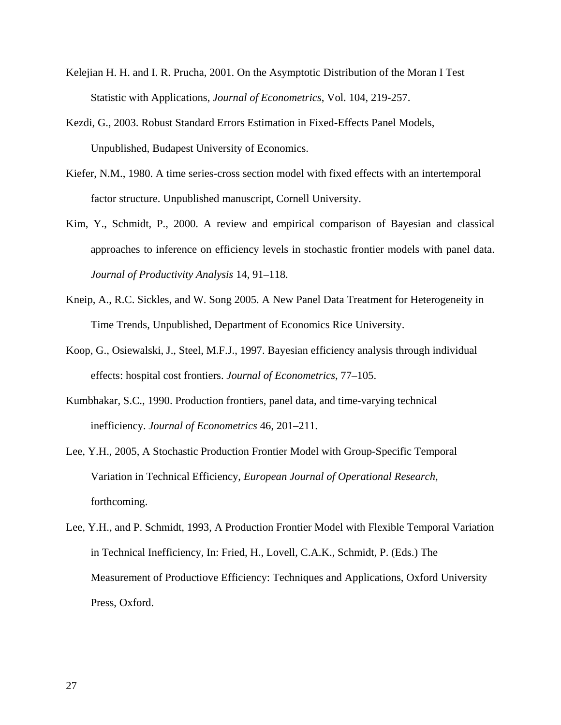- Kelejian H. H. and I. R. Prucha, 2001. On the Asymptotic Distribution of the Moran I Test Statistic with Applications, *Journal of Econometrics*, Vol. 104, 219-257.
- Kezdi, G., 2003. Robust Standard Errors Estimation in Fixed-Effects Panel Models, Unpublished, Budapest University of Economics.
- Kiefer, N.M., 1980. A time series-cross section model with fixed effects with an intertemporal factor structure. Unpublished manuscript, Cornell University.
- Kim, Y., Schmidt, P., 2000. A review and empirical comparison of Bayesian and classical approaches to inference on efficiency levels in stochastic frontier models with panel data. *Journal of Productivity Analysis* 14, 91–118.
- Kneip, A., R.C. Sickles, and W. Song 2005. A New Panel Data Treatment for Heterogeneity in Time Trends, Unpublished, Department of Economics Rice University.
- Koop, G., Osiewalski, J., Steel, M.F.J., 1997. Bayesian efficiency analysis through individual effects: hospital cost frontiers. *Journal of Econometrics*, 77–105.
- Kumbhakar, S.C., 1990. Production frontiers, panel data, and time-varying technical inefficiency. *Journal of Econometrics* 46, 201–211.
- Lee, Y.H., 2005, A Stochastic Production Frontier Model with Group-Specific Temporal Variation in Technical Efficiency, *European Journal of Operational Research*, forthcoming.
- Lee, Y.H., and P. Schmidt, 1993, A Production Frontier Model with Flexible Temporal Variation in Technical Inefficiency, In: Fried, H., Lovell, C.A.K., Schmidt, P. (Eds.) The Measurement of Productiove Efficiency: Techniques and Applications, Oxford University Press, Oxford.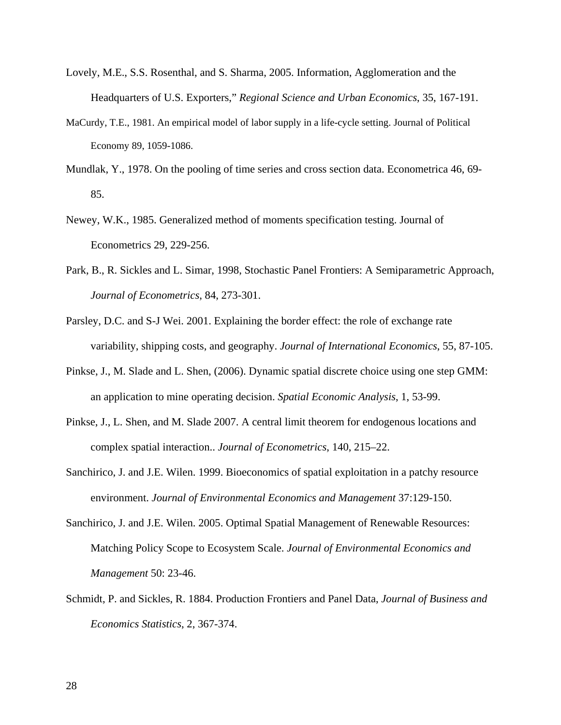- Lovely, M.E., S.S. Rosenthal, and S. Sharma, 2005. Information, Agglomeration and the Headquarters of U.S. Exporters," *Regional Science and Urban Economics*, 35, 167-191.
- MaCurdy, T.E., 1981. An empirical model of labor supply in a life-cycle setting. Journal of Political Economy 89, 1059-1086.
- Mundlak, Y., 1978. On the pooling of time series and cross section data. Econometrica 46, 69- 85.
- Newey, W.K., 1985. Generalized method of moments specification testing. Journal of Econometrics 29, 229-256.
- Park, B., R. Sickles and L. Simar, 1998, Stochastic Panel Frontiers: A Semiparametric Approach, *Journal of Econometrics*, 84, 273-301.
- Parsley, D.C. and S-J Wei. 2001. Explaining the border effect: the role of exchange rate variability, shipping costs, and geography. *Journal of International Economics*, 55, 87-105.
- Pinkse, J., M. Slade and L. Shen, (2006). Dynamic spatial discrete choice using one step GMM: an application to mine operating decision. *Spatial Economic Analysis*, 1, 53-99.
- Pinkse, J., L. Shen, and M. Slade 2007. A central limit theorem for endogenous locations and complex spatial interaction.. *Journal of Econometrics*, 140, 215–22.
- Sanchirico, J. and J.E. Wilen. 1999. Bioeconomics of spatial exploitation in a patchy resource environment. *Journal of Environmental Economics and Management* 37:129-150.
- Sanchirico, J. and J.E. Wilen. 2005. Optimal Spatial Management of Renewable Resources: Matching Policy Scope to Ecosystem Scale. *Journal of Environmental Economics and Management* 50: 23-46.
- Schmidt, P. and Sickles, R. 1884. Production Frontiers and Panel Data, *Journal of Business and Economics Statistics*, 2, 367-374.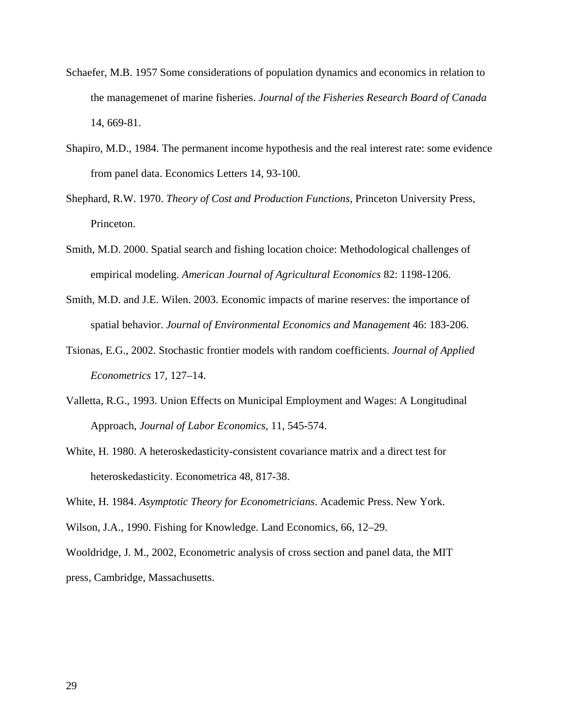- Schaefer, M.B. 1957 Some considerations of population dynamics and economics in relation to the managemenet of marine fisheries. *Journal of the Fisheries Research Board of Canada* 14, 669-81.
- Shapiro, M.D., 1984. The permanent income hypothesis and the real interest rate: some evidence from panel data. Economics Letters 14, 93-100.
- Shephard, R.W. 1970. *Theory of Cost and Production Functions*, Princeton University Press, Princeton.
- Smith, M.D. 2000. Spatial search and fishing location choice: Methodological challenges of empirical modeling. *American Journal of Agricultural Economics* 82: 1198-1206.
- Smith, M.D. and J.E. Wilen. 2003. Economic impacts of marine reserves: the importance of spatial behavior. *Journal of Environmental Economics and Management* 46: 183-206.
- Tsionas, E.G., 2002. Stochastic frontier models with random coefficients. *Journal of Applied Econometrics* 17, 127–14.
- Valletta, R.G., 1993. Union Effects on Municipal Employment and Wages: A Longitudinal Approach, *Journal of Labor Economics*, 11, 545-574.
- White, H. 1980. A heteroskedasticity-consistent covariance matrix and a direct test for heteroskedasticity. Econometrica 48, 817-38.

White, H. 1984. *Asymptotic Theory for Econometricians*. Academic Press. New York.

Wilson, J.A., 1990. Fishing for Knowledge. Land Economics, 66, 12–29.

Wooldridge, J. M., 2002, Econometric analysis of cross section and panel data, the MIT press, Cambridge, Massachusetts.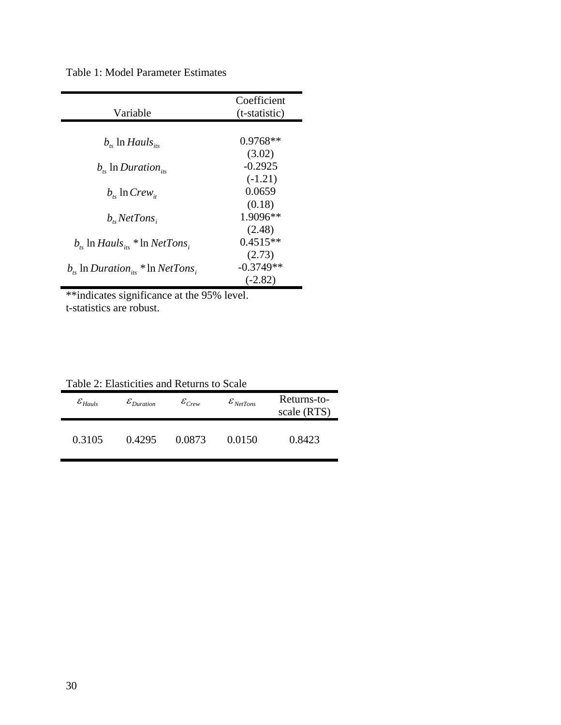Table 1: Model Parameter Estimates

| Coefficient   |
|---------------|
| (t-statistic) |
|               |
| $0.9768**$    |
| (3.02)        |
| $-0.2925$     |
| $(-1.21)$     |
| 0.0659        |
| (0.18)        |
| 1.9096**      |
| (2.48)        |
| $0.4515**$    |
| (2.73)        |
| $-0.3749**$   |
| $(-2.82)$     |
|               |

\*\*indicates significance at the 95% level. t-statistics are robust.

|  | Table 2: Elasticities and Returns to Scale |
|--|--------------------------------------------|
|--|--------------------------------------------|

| $\varepsilon_{Hauls}$ | $\varepsilon_{Duration}$ | $\varepsilon_{\scriptscriptstyle Crew}$ | $\varepsilon_{\textit{NetTons}}$ | Returns-to-<br>scale (RTS) |
|-----------------------|--------------------------|-----------------------------------------|----------------------------------|----------------------------|
| 0.3105                | 0.4295                   | 0.0873                                  | 0.0150                           | 0.8423                     |